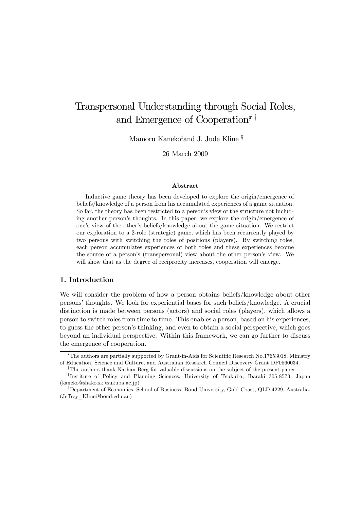# Transpersonal Understanding through Social Roles, and Emergence of Cooperation<sup>∗†</sup>

Mamoru Kaneko‡ and J. Jude Kline §

26 March 2009

#### Abstract

Inductive game theory has been developed to explore the origin/emergence of beliefs/knowledge of a person from his accumulated experiences of a game situation. So far, the theory has been restricted to a person's view of the structure not including another person's thoughts. In this paper, we explore the origin/emergence of one's view of the other's beliefs/knowledge about the game situation. We restrict our exploration to a 2-role (strategic) game, which has been recurrently played by two persons with switching the roles of positions (players). By switching roles, each person accumulates experiences of both roles and these experiences become the source of a person's (transpersonal) view about the other person's view. We will show that as the degree of reciprocity increases, cooperation will emerge.

# 1. Introduction

We will consider the problem of how a person obtains beliefs/knowledge about other persons' thoughts. We look for experiential bases for such beliefs/knowledge. A crucial distinction is made between persons (actors) and social roles (players), which allows a person to switch roles from time to time. This enables a person, based on his experiences, to guess the other person's thinking, and even to obtain a social perspective, which goes beyond an individual perspective. Within this framework, we can go further to discuss the emergence of cooperation.

<sup>∗</sup>The authors are partially supported by Grant-in-Aids for Scientific Research No.17653018, Ministry of Education, Science and Culture, and Australian Research Council Discovery Grant DP0560034.

<sup>&</sup>lt;sup>†</sup>The authors thank Nathan Berg for valuable discussions on the subject of the present paper.

<sup>‡</sup>Institute of Policy and Planning Sciences, University of Tsukuba, Ibaraki 305-8573, Japan (kaneko@shako.sk.tsukuba.ac.jp)

<sup>§</sup>Department of Economics, School of Business, Bond University, Gold Coast, QLD 4229, Australia, (Jeffrey\_Kline@bond.edu.au)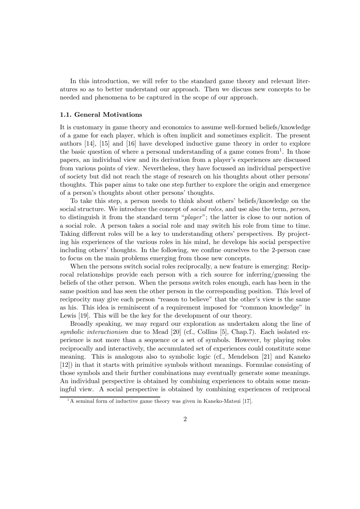In this introduction, we will refer to the standard game theory and relevant literatures so as to better understand our approach. Then we discuss new concepts to be needed and phenomena to be captured in the scope of our approach.

# 1.1. General Motivations

It is customary in game theory and economics to assume well-formed beliefs/knowledge of a game for each player, which is often implicit and sometimes explicit. The present authors [14], [15] and [16] have developed inductive game theory in order to explore the basic question of where a personal understanding of a game comes from<sup>1</sup>. In those papers, an individual view and its derivation from a player's experiences are discussed from various points of view. Nevertheless, they have focussed an individual perspective of society but did not reach the stage of research on his thoughts about other persons' thoughts. This paper aims to take one step further to explore the origin and emergence of a person's thoughts about other persons' thoughts.

To take this step, a person needs to think about others' beliefs/knowledge on the social structure. We introduce the concept of *social roles*, and use also the term, *person*, to distinguish it from the standard term "player"; the latter is close to our notion of a social role. A person takes a social role and may switch his role from time to time. Taking different roles will be a key to understanding others' perspectives. By projecting his experiences of the various roles in his mind, he develops his social perspective including others' thoughts. In the following, we confine ourselves to the 2-person case to focus on the main problems emerging from those new concepts.

When the persons switch social roles reciprocally, a new feature is emerging: Reciprocal relationships provide each person with a rich source for inferring/guessing the beliefs of the other person. When the persons switch roles enough, each has been in the same position and has seen the other person in the corresponding position. This level of reciprocity may give each person "reason to believe" that the other's view is the same as his. This idea is reminiscent of a requirement imposed for "common knowledge" in Lewis [19]. This will be the key for the development of our theory.

Broadly speaking, we may regard our exploration as undertaken along the line of symbolic interactionism due to Mead [20] (cf., Collins [5], Chap.7). Each isolated experience is not more than a sequence or a set of symbols. However, by playing roles reciprocally and interactively, the accumulated set of experiences could constitute some meaning. This is analogous also to symbolic logic (cf., Mendelson [21] and Kaneko [12]) in that it starts with primitive symbols without meanings. Formulae consisting of those symbols and their further combinations may eventually generate some meanings. An individual perspective is obtained by combining experiences to obtain some meaningful view. A social perspective is obtained by combining experiences of reciprocal

<sup>&</sup>lt;sup>1</sup>A seminal form of inductive game theory was given in Kaneko-Matsui [17].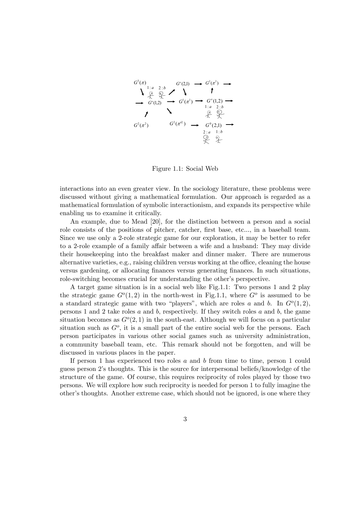

Figure 1.1: Social Web

interactions into an even greater view. In the sociology literature, these problems were discussed without giving a mathematical formulation. Our approach is regarded as a mathematical formulation of symbolic interactionism, and expands its perspective while enabling us to examine it critically.

An example, due to Mead [20], for the distinction between a person and a social role consists of the positions of pitcher, catcher, first base, etc..., in a baseball team. Since we use only a 2-role strategic game for our exploration, it may be better to refer to a 2-role example of a family affair between a wife and a husband: They may divide their housekeeping into the breakfast maker and dinner maker. There are numerous alternative varieties, e.g., raising children versus working at the office, cleaning the house versus gardening, or allocating finances versus generating finances. In such situations, role-switching becomes crucial for understanding the other's perspective.

A target game situation is in a social web like Fig.1.1: Two persons 1 and 2 play the strategic game  $G^{\circ}(1,2)$  in the north-west in Fig.1.1, where  $G^{\circ}$  is assumed to be a standard strategic game with two "players", which are roles a and b. In  $G^o(1, 2)$ , persons 1 and 2 take roles  $a$  and  $b$ , respectively. If they switch roles  $a$  and  $b$ , the game situation becomes as  $G^{\circ}(2, 1)$  in the south-east. Although we will focus on a particular situation such as  $G^o$ , it is a small part of the entire social web for the persons. Each person participates in various other social games such as university administration, a community baseball team, etc. This remark should not be forgotten, and will be discussed in various places in the paper.

If person 1 has experienced two roles  $a$  and  $b$  from time to time, person 1 could guess person 2's thoughts. This is the source for interpersonal beliefs/knowledge of the structure of the game. Of course, this requires reciprocity of roles played by those two persons. We will explore how such reciprocity is needed for person 1 to fully imagine the other's thoughts. Another extreme case, which should not be ignored, is one where they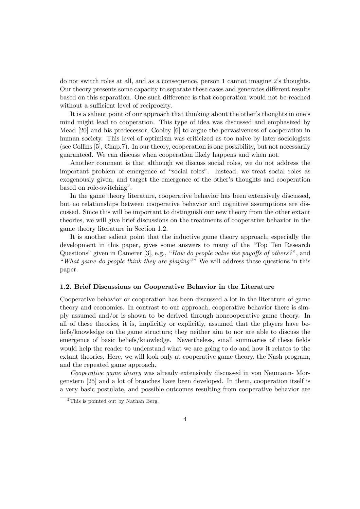do not switch roles at all, and as a consequence, person 1 cannot imagine 2's thoughts. Our theory presents some capacity to separate these cases and generates different results based on this separation. One such difference is that cooperation would not be reached without a sufficient level of reciprocity.

It is a salient point of our approach that thinking about the other's thoughts in one's mind might lead to cooperation. This type of idea was discussed and emphasized by Mead [20] and his predecessor, Cooley [6] to argue the pervasiveness of cooperation in human society. This level of optimism was criticized as too naive by later sociologists (see Collins [5], Chap.7). In our theory, cooperation is one possibility, but not necessarily guaranteed. We can discuss when cooperation likely happens and when not.

Another comment is that although we discuss social roles, we do not address the important problem of emergence of "social roles". Instead, we treat social roles as exogenously given, and target the emergence of the other's thoughts and cooperation based on role-switching<sup>2</sup>.

In the game theory literature, cooperative behavior has been extensively discussed, but no relationships between cooperative behavior and cognitive assumptions are discussed. Since this will be important to distinguish our new theory from the other extant theories, we will give brief discussions on the treatments of cooperative behavior in the game theory literature in Section 1.2.

It is another salient point that the inductive game theory approach, especially the development in this paper, gives some answers to many of the "Top Ten Research Questions" given in Camerer [3], e.g., "How do people value the payoffs of others?", and "What game do people think they are playing?" We will address these questions in this paper.

## 1.2. Brief Discussions on Cooperative Behavior in the Literature

Cooperative behavior or cooperation has been discussed a lot in the literature of game theory and economics. In contrast to our approach, cooperative behavior there is simply assumed and/or is shown to be derived through noncooperative game theory. In all of these theories, it is, implicitly or explicitly, assumed that the players have beliefs/knowledge on the game structure; they neither aim to nor are able to discuss the emergence of basic beliefs/knowledge. Nevertheless, small summaries of these fields would help the reader to understand what we are going to do and how it relates to the extant theories. Here, we will look only at cooperative game theory, the Nash program, and the repeated game approach.

Cooperative game theory was already extensively discussed in von Neumann- Morgenstern [25] and a lot of branches have been developed. In them, cooperation itself is a very basic postulate, and possible outcomes resulting from cooperative behavior are

<sup>&</sup>lt;sup>2</sup>This is pointed out by Nathan Berg.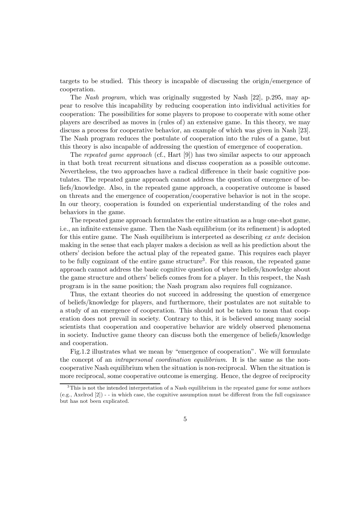targets to be studied. This theory is incapable of discussing the origin/emergence of cooperation.

The Nash program, which was originally suggested by Nash [22], p.295, may appear to resolve this incapability by reducing cooperation into individual activities for cooperation: The possibilities for some players to propose to cooperate with some other players are described as moves in (rules of) an extensive game. In this theory, we may discuss a process for cooperative behavior, an example of which was given in Nash [23]. The Nash program reduces the postulate of cooperation into the rules of a game, but this theory is also incapable of addressing the question of emergence of cooperation.

The repeated game approach (cf., Hart [9]) has two similar aspects to our approach in that both treat recurrent situations and discuss cooperation as a possible outcome. Nevertheless, the two approaches have a radical difference in their basic cognitive postulates. The repeated game approach cannot address the question of emergence of beliefs/knowledge. Also, in the repeated game approach, a cooperative outcome is based on threats and the emergence of cooperation/cooperative behavior is not in the scope. In our theory, cooperation is founded on experiential understanding of the roles and behaviors in the game.

The repeated game approach formulates the entire situation as a huge one-shot game, i.e., an infinite extensive game. Then the Nash equilibrium (or its refinement) is adopted for this entire game. The Nash equilibrium is interpreted as describing ex ante decision making in the sense that each player makes a decision as well as his prediction about the others' decision before the actual play of the repeated game. This requires each player to be fully cognizant of the entire game structure<sup>3</sup>. For this reason, the repeated game approach cannot address the basic cognitive question of where beliefs/knowledge about the game structure and others' beliefs comes from for a player. In this respect, the Nash program is in the same position; the Nash program also requires full cognizance.

Thus, the extant theories do not succeed in addressing the question of emergence of beliefs/knowledge for players, and furthermore, their postulates are not suitable to a study of an emergence of cooperation. This should not be taken to mean that cooperation does not prevail in society. Contrary to this, it is believed among many social scientists that cooperation and cooperative behavior are widely observed phenomena in society. Inductive game theory can discuss both the emergence of beliefs/knowledge and cooperation.

Fig.1.2 illustrates what we mean by "emergence of cooperation". We will formulate the concept of an *intrapersonal coordination equilibrium*. It is the same as the noncooperative Nash equilibrium when the situation is non-reciprocal. When the situation is more reciprocal, some cooperative outcome is emerging. Hence, the degree of reciprocity

 $3$ This is not the intended interpretation of a Nash equilibrium in the repeated game for some authors (e.g., Axelrod [2]) - - in which case, the cognitive assumption must be different from the full cognizance but has not been explicated.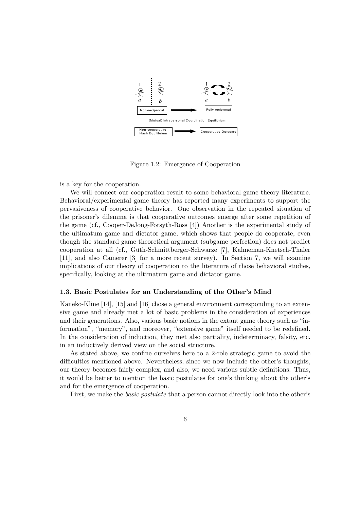

Figure 1.2: Emergence of Cooperation

is a key for the cooperation.

We will connect our cooperation result to some behavioral game theory literature. Behavioral/experimental game theory has reported many experiments to support the pervasiveness of cooperative behavior. One observation in the repeated situation of the prisoner's dilemma is that cooperative outcomes emerge after some repetition of the game (cf., Cooper-DeJong-Forsyth-Ross [4]) Another is the experimental study of the ultimatum game and dictator game, which shows that people do cooperate, even though the standard game theoretical argument (subgame perfection) does not predict cooperation at all (cf., Güth-Schmittberger-Schwarze [7], Kahneman-Knetsch-Thaler [11], and also Camerer [3] for a more recent survey). In Section 7, we will examine implications of our theory of cooperation to the literature of those behavioral studies, specifically, looking at the ultimatum game and dictator game.

#### 1.3. Basic Postulates for an Understanding of the Other's Mind

Kaneko-Kline [14], [15] and [16] chose a general environment corresponding to an extensive game and already met a lot of basic problems in the consideration of experiences and their generations. Also, various basic notions in the extant game theory such as "information", "memory", and moreover, "extensive game" itself needed to be redefined. In the consideration of induction, they met also partiality, indeterminacy, falsity, etc. in an inductively derived view on the social structure.

As stated above, we confine ourselves here to a 2-role strategic game to avoid the difficulties mentioned above. Nevertheless, since we now include the other's thoughts, our theory becomes fairly complex, and also, we need various subtle definitions. Thus, it would be better to mention the basic postulates for one's thinking about the other's and for the emergence of cooperation.

First, we make the basic postulate that a person cannot directly look into the other's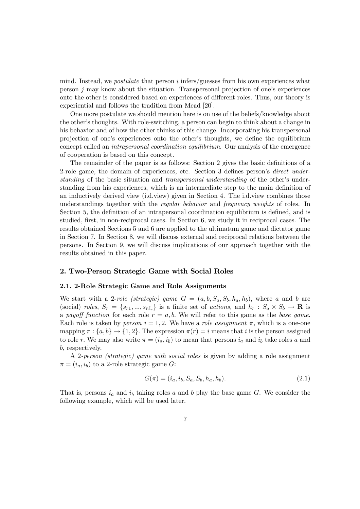mind. Instead, we *postulate* that person  $i$  infers/guesses from his own experiences what person j may know about the situation. Transpersonal projection of one's experiences onto the other is considered based on experiences of different roles. Thus, our theory is experiential and follows the tradition from Mead [20].

One more postulate we should mention here is on use of the beliefs/knowledge about the other's thoughts. With role-switching, a person can begin to think about a change in his behavior and of how the other thinks of this change. Incorporating his transpersonal projection of one's experiences onto the other's thoughts, we define the equilibrium concept called an intrapersonal coordination equilibrium. Our analysis of the emergence of cooperation is based on this concept.

The remainder of the paper is as follows: Section 2 gives the basic definitions of a 2-role game, the domain of experiences, etc. Section 3 defines person's direct understanding of the basic situation and transpersonal understanding of the other's understanding from his experiences, which is an intermediate step to the main definition of an inductively derived view (i.d.view) given in Section 4. The i.d.view combines those understandings together with the *regular behavior* and *frequency weights* of roles. In Section 5, the definition of an intrapersonal coordination equilibrium is defined, and is studied, first, in non-reciprocal cases. In Section 6, we study it in reciprocal cases. The results obtained Sections 5 and 6 are applied to the ultimatum game and dictator game in Section 7. In Section 8, we will discuss external and reciprocal relations between the persons. In Section 9, we will discuss implications of our approach together with the results obtained in this paper.

# 2. Two-Person Strategic Game with Social Roles

#### 2.1. 2-Role Strategic Game and Role Assignments

We start with a 2-role *(strategic)* game  $G = (a, b, S_a, S_b, h_a, h_b)$ , where a and b are (social) roles,  $S_r = \{s_{r1},...,s_{r\ell_r}\}\$ is a finite set of actions, and  $h_r : S_a \times S_b \to \mathbf{R}$  is a payoff function for each role  $r = a, b$ . We will refer to this game as the base game. Each role is taken by person  $i = 1, 2$ . We have a role assignment  $\pi$ , which is a one-one mapping  $\pi : \{a, b\} \to \{1, 2\}$ . The expression  $\pi(r) = i$  means that i is the person assigned to role r. We may also write  $\pi = (i_a, i_b)$  to mean that persons  $i_a$  and  $i_b$  take roles a and b, respectively.

A 2-person (strategic) game with social roles is given by adding a role assignment  $\pi = (i_a, i_b)$  to a 2-role strategic game G:

$$
G(\pi) = (i_a, i_b, S_a, S_b, h_a, h_b).
$$
\n(2.1)

That is, persons  $i_a$  and  $i_b$  taking roles a and b play the base game G. We consider the following example, which will be used later.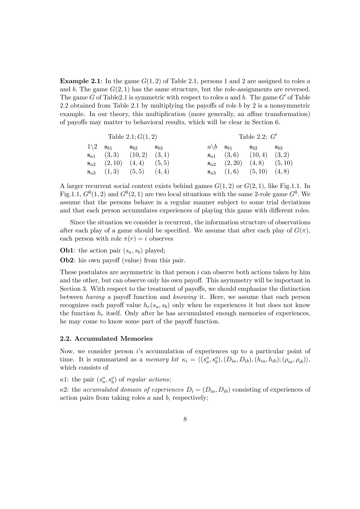**Example 2.1**: In the game  $G(1, 2)$  of Table 2.1, persons 1 and 2 are assigned to roles a and b. The game  $G(2, 1)$  has the same structure, but the role-assignments are reversed. The game G of Table 2.1 is symmetric with respect to roles a and b. The game  $G'$  of Table 2.2 obtained from Table 2.1 by multiplying the payoffs of role b by 2 is a nonsymmetric example. In our theory, this multiplication (more generally, an affine transformation) of payoffs may matter to behavioral results, which will be clear in Section 6.

| Table 2.1; $G(1,2)$ |                                                     |                                     | Table 2.2; $G'$    |                                                     |                                             |                    |
|---------------------|-----------------------------------------------------|-------------------------------------|--------------------|-----------------------------------------------------|---------------------------------------------|--------------------|
|                     | $1\backslash 2$ $\mathbf{s}_{b1}$ $\mathbf{s}_{b2}$ |                                     | $\mathbf{S}_{b,3}$ | $a\backslash b$ $\mathbf{s}_{b1}$ $\mathbf{s}_{b2}$ |                                             | $\mathbf{S}_{b,3}$ |
|                     |                                                     | $s_{a1}$ (3,3) (10,2) (3,1)         |                    |                                                     | $s_{a1}$ (3,6) (10,4) (3,2)                 |                    |
|                     |                                                     | $s_{a2}$ $(2,10)$ $(4,4)$ $(5,5)$   |                    |                                                     | $\mathbf{s}_{a2}$ $(2,20)$ $(4,8)$ $(5,10)$ |                    |
|                     |                                                     | $\mathbf{s}_{a3}$ (1,3) (5,5) (4,4) |                    |                                                     | $\mathbf{s}_{a3}$ $(1,6)$ $(5,10)$ $(4,8)$  |                    |

A larger recurrent social context exists behind games  $G(1, 2)$  or  $G(2, 1)$ , like Fig.1.1. In Fig.1.1,  $G^0(1, 2)$  and  $G^0(2, 1)$  are two local situations with the same 2-role game  $G^0$ . We assume that the persons behave in a regular manner subject to some trial deviations and that each person accumulates experiences of playing this game with different roles.

Since the situation we consider is recurrent, the information structure of observations after each play of a game should be specified. We assume that after each play of  $G(\pi)$ , each person with role  $\pi(r) = i$  observes

**Ob1**: the action pair  $(s_a, s_b)$  played;

Ob2: his own payoff (value) from this pair.

These postulates are asymmetric in that person  $i$  can observe both actions taken by him and the other, but can observe only his own payoff. This asymmetry will be important in Section 3. With respect to the treatment of payoffs, we should emphasize the distinction between having a payoff function and knowing it. Here, we assume that each person recognizes each payoff value  $h_r(s_a, s_b)$  only when he experiences it but does not know the function  $h_r$  itself. Only after he has accumulated enough memories of experiences, he may come to know some part of the payoff function.

## 2.2. Accumulated Memories

Now, we consider person i's accumulation of experiences up to a particular point of time. It is summarized as a memory kit  $\kappa_i = \langle (s_a^o, s_b^o), (D_{ia}, D_{ib}), (h_{ia}, h_{ib}); (\rho_{ia}, \rho_{ib}) \rangle$ , which consists of

 $\kappa$ 1: the pair  $(s_a^o, s_b^o)$  of regular actions;

 $\kappa$ 2: the accumulated domain of experiences  $D_i = (D_{ia}, D_{ib})$  consisting of experiences of action pairs from taking roles  $a$  and  $b$ , respectively;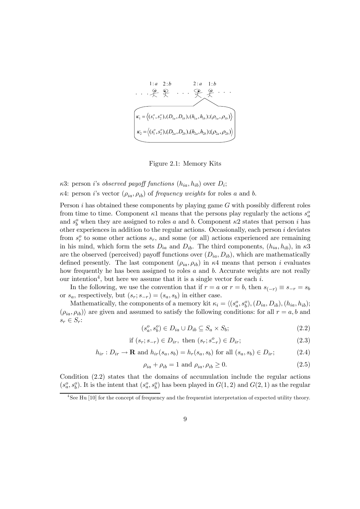

Figure 2.1: Memory Kits

κ3: person *i*'s *observed payoff functions*  $(h_{ia}, h_{ib})$  over  $D_i$ ; κ4: person *i*'s vector  $(ρ<sub>ia</sub>, ρ<sub>ib</sub>)$  of *frequency weights* for roles *a* and *b*.

Person  $i$  has obtained these components by playing game  $G$  with possibly different roles from time to time. Component  $\kappa$ 1 means that the persons play regularly the actions  $s_a^o$ and  $s_b^o$  when they are assigned to roles a and b. Component  $\kappa$ 2 states that person i has other experiences in addition to the regular actions. Occasionally, each person  $i$  deviates from  $s_r^o$  to some other actions  $s_r$ , and some (or all) actions experienced are remaining in his mind, which form the sets  $D_{ia}$  and  $D_{ib}$ . The third components,  $(h_{ia}, h_{ib})$ , in  $\kappa 3$ are the observed (perceived) payoff functions over  $(D_{ia}, D_{ib})$ , which are mathematically defined presently. The last component  $(\rho_{ia}, \rho_{ib})$  in  $\kappa$ 4 means that person i evaluates how frequently he has been assigned to roles a and b. Accurate weights are not really our intention<sup>4</sup>, but here we assume that it is a single vector for each i.

In the following, we use the convention that if  $r = a$  or  $r = b$ , then  $s_{(-r)} \equiv s_{-r} = s_b$ or  $s_a$ , respectively, but  $(s_r; s_{-r})=(s_a, s_b)$  in either case.

Mathematically, the components of a memory kit  $\kappa_i = \langle (s_a^o, s_b^o), (D_{ia}, D_{ib}), (h_{ia}, h_{ib});$  $(\rho_{ia}, \rho_{ib})$  are given and assumed to satisfy the following conditions: for all  $r = a, b$  and  $s_r \in S_r$ :

$$
(s_a^o, s_b^o) \in D_{ia} \cup D_{ib} \subseteq S_a \times S_b; \tag{2.2}
$$

if 
$$
(s_r; s_{-r}) \in D_{ir}
$$
, then  $(s_r; s^o_{-r}) \in D_{ir}$ ;\t\t(2.3)

$$
h_{ir}: D_{ir} \to \mathbf{R} \text{ and } h_{ir}(s_a, s_b) = h_r(s_a, s_b) \text{ for all } (s_a, s_b) \in D_{ir};
$$
 (2.4)

$$
\rho_{ia} + \rho_{ib} = 1 \text{ and } \rho_{ia}, \rho_{ib} \ge 0. \tag{2.5}
$$

Condition (2.2) states that the domains of accumulation include the regular actions  $(s_a^o, s_b^o)$ . It is the intent that  $(s_a^o, s_b^o)$  has been played in  $G(1, 2)$  and  $G(2, 1)$  as the regular

<sup>&</sup>lt;sup>4</sup>See Hu [10] for the concept of frequency and the frequentist interpretation of expected utility theory.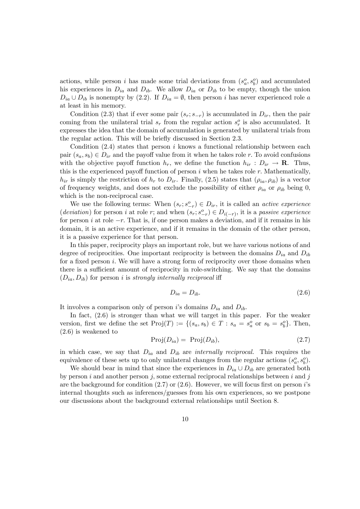actions, while person *i* has made some trial deviations from  $(s_a^o, s_b^o)$  and accumulated his experiences in  $D_{ia}$  and  $D_{ib}$ . We allow  $D_{ia}$  or  $D_{ib}$  to be empty, though the union  $D_{ia} \cup D_{ib}$  is nonempty by (2.2). If  $D_{ia} = \emptyset$ , then person *i* has never experienced role *a* at least in his memory.

Condition (2.3) that if ever some pair  $(s_r; s_{-r})$  is accumulated in  $D_{ir}$ , then the pair coming from the unilateral trial  $s_r$  from the regular action  $s_r^o$  is also accumulated. It expresses the idea that the domain of accumulation is generated by unilateral trials from the regular action. This will be briefly discussed in Section 2.3.

Condition  $(2.4)$  states that person i knows a functional relationship between each pair  $(s_a, s_b) \in D_{ir}$  and the payoff value from it when he takes role r. To avoid confusions with the objective payoff function  $h_r$ , we define the function  $h_{ir} : D_{ir} \to \mathbf{R}$ . Thus, this is the experienced payoff function of person  $i$  when he takes role  $r$ . Mathematically,  $h_{ir}$  is simply the restriction of  $h_r$  to  $D_{ir}$ . Finally, (2.5) states that  $(\rho_{ia}, \rho_{ib})$  is a vector of frequency weights, and does not exclude the possibility of either  $\rho_{ia}$  or  $\rho_{ib}$  being 0, which is the non-reciprocal case.

We use the following terms: When  $(s_r; s_{-r}^o) \in D_{ir}$ , it is called an *active experience* (deviation) for person i at role r; and when  $(s_r; s_{-r}^o) \in D_{i(-r)}$ , it is a passive experience for person i at role  $-r$ . That is, if one person makes a deviation, and if it remains in his domain, it is an active experience, and if it remains in the domain of the other person, it is a passive experience for that person.

In this paper, reciprocity plays an important role, but we have various notions of and degree of reciprocities. One important reciprocity is between the domains  $D_{ia}$  and  $D_{ib}$ for a fixed person  $i$ . We will have a strong form of reciprocity over those domains when there is a sufficient amount of reciprocity in role-switching. We say that the domains  $(D_{ia}, D_{ib})$  for person i is strongly internally reciprocal iff

$$
D_{ia} = D_{ib}.\tag{2.6}
$$

It involves a comparison only of person i's domains  $D_{ia}$  and  $D_{ib}$ .

In fact,  $(2.6)$  is stronger than what we will target in this paper. For the weaker version, first we define the set  $\text{Proj}(T) := \{(s_a, s_b) \in T : s_a = s_a^o \text{ or } s_b = s_b^o\}$ . Then, (2.6) is weakened to

$$
Proj(D_{ia}) = Proj(D_{ib}), \qquad (2.7)
$$

in which case, we say that  $D_{ia}$  and  $D_{ib}$  are *internally reciprocal*. This requires the equivalence of these sets up to only unilateral changes from the regular actions  $(s_a^o, s_b^o)$ .

We should bear in mind that since the experiences in  $D_{ia} \cup D_{ib}$  are generated both by person i and another person j, some external reciprocal relationships between i and j are the background for condition  $(2.7)$  or  $(2.6)$ . However, we will focus first on person *i*'s internal thoughts such as inferences/guesses from his own experiences, so we postpone our discussions about the background external relationships until Section 8.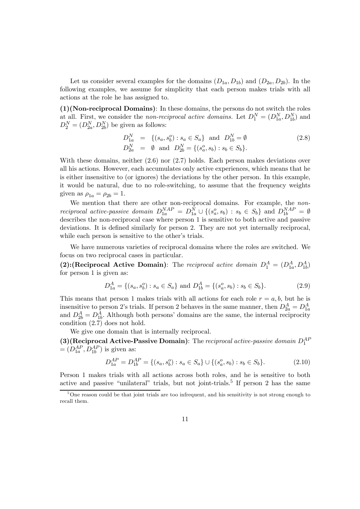Let us consider several examples for the domains  $(D_{1a}, D_{1b})$  and  $(D_{2a}, D_{2b})$ . In the following examples, we assume for simplicity that each person makes trials with all actions at the role he has assigned to.

(1)(Non-reciprocal Domains): In these domains, the persons do not switch the roles at all. First, we consider the *non-reciprocal active domains*. Let  $D_1^N = (D_{1a}^N, D_{1b}^N)$  and  $D_2^N = (D_{2a}^N, D_{2b}^N)$  be given as follows:

$$
D_{1a}^N = \{(s_a, s_b^o) : s_a \in S_a\} \text{ and } D_{1b}^N = \emptyset
$$
  
\n
$$
D_{2a}^N = \emptyset \text{ and } D_{2b}^N = \{(s_a^o, s_b) : s_b \in S_b\}.
$$
\n(2.8)

With these domains, neither  $(2.6)$  nor  $(2.7)$  holds. Each person makes deviations over all his actions. However, each accumulates only active experiences, which means that he is either insensitive to (or ignores) the deviations by the other person. In this example, it would be natural, due to no role-switching, to assume that the frequency weights given as  $\rho_{1a} = \rho_{2b} = 1$ .

We mention that there are other non-reciprocal domains. For example, the nonreciprocal active-passive domain  $D_{1a}^{NAP} = D_{1a}^{N} \cup \{(s_a^o, s_b) : s_b \in S_b\}$  and  $D_{1b}^{NAP} = \emptyset$ describes the non-reciprocal case where person 1 is sensitive to both active and passive deviations. It is defined similarly for person 2. They are not yet internally reciprocal, while each person is sensitive to the other's trials.

We have numerous varieties of reciprocal domains where the roles are switched. We focus on two reciprocal cases in particular.

(2): (Reciprocal Active Domain): The reciprocal active domain  $D_1^A = (D_{1a}^A, D_{1b}^A)$ for person 1 is given as:

$$
D_{1a}^{A} = \{(s_a, s_b^o) : s_a \in S_a\} \text{ and } D_{1b}^{A} = \{(s_a^o, s_b) : s_b \in S_b\}. \tag{2.9}
$$

This means that person 1 makes trials with all actions for each role  $r = a, b$ , but he is insensitive to person 2's trials. If person 2 behaves in the same manner, then  $D_{2a}^A = D_{1a}^A$ <br>and  $D_{2b}^A = D_{1b}^A$ . Although both persons' domains are the same, the internal reciprocity condition (2.7) does not hold.

We give one domain that is internally reciprocal.

(3)(Reciprocal Active-Passive Domain): The reciprocal active-passive domain  $D_1^{AF}$  $=(D_{1a}^{AP}, D_{1b}^{AP})$  is given as:

$$
D_{1a}^{AP} = D_{1b}^{AP} = \{(s_a, s_b^o) : s_a \in S_a\} \cup \{(s_a^o, s_b) : s_b \in S_b\}.
$$
 (2.10)

Person 1 makes trials with all actions across both roles, and he is sensitive to both active and passive "unilateral" trials, but not joint-trials.<sup>5</sup> If person 2 has the same

 $5^{\circ}$ One reason could be that joint trials are too infrequent, and his sensitivity is not strong enough to recall them.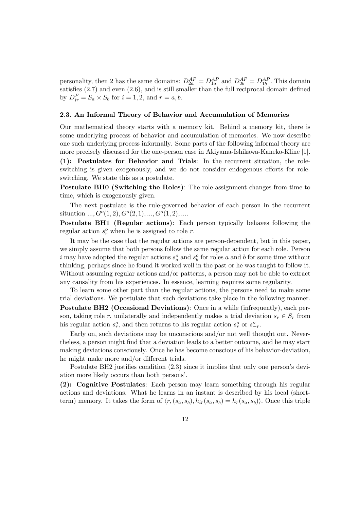personality, then 2 has the same domains:  $D_{2a}^{AP} = D_{1a}^{AP}$  and  $D_{2b}^{AP} = D_{1b}^{AP}$ . This domain satisfies (2.7) and even (2.6), and is still smaller than the full reciprocal domain defined by  $D_{ir}^F = S_a \times S_b$  for  $i = 1, 2$ , and  $r = a, b$ .

## 2.3. An Informal Theory of Behavior and Accumulation of Memories

Our mathematical theory starts with a memory kit. Behind a memory kit, there is some underlying process of behavior and accumulation of memories. We now describe one such underlying process informally. Some parts of the following informal theory are more precisely discussed for the one-person case in Akiyama-Ishikawa-Kaneko-Kline [1].

(1): Postulates for Behavior and Trials: In the recurrent situation, the roleswitching is given exogenously, and we do not consider endogenous efforts for roleswitching. We state this as a postulate.

Postulate BH0 (Switching the Roles): The role assignment changes from time to time, which is exogenously given.

The next postulate is the rule-governed behavior of each person in the recurrent situation  $..., G<sup>o</sup>(1, 2), G<sup>o</sup>(2, 1), ..., G<sup>o</sup>(1, 2), ....$ 

Postulate BH1 (Regular actions): Each person typically behaves following the regular action  $s_r^o$  when he is assigned to role r.

It may be the case that the regular actions are person-dependent, but in this paper, we simply assume that both persons follow the same regular action for each role. Person i may have adopted the regular actions  $s_a^o$  and  $s_b^o$  for roles a and b for some time without thinking, perhaps since he found it worked well in the past or he was taught to follow it. Without assuming regular actions and/or patterns, a person may not be able to extract any causality from his experiences. In essence, learning requires some regularity.

To learn some other part than the regular actions, the persons need to make some trial deviations. We postulate that such deviations take place in the following manner. Postulate BH2 (Occasional Deviations): Once in a while (infrequently), each person, taking role r, unilaterally and independently makes a trial deviation  $s_r \in S_r$  from his regular action  $s_r^o$ , and then returns to his regular action  $s_r^o$  or  $s_{-r}^o$ .

Early on, such deviations may be unconscious and/or not well thought out. Nevertheless, a person might find that a deviation leads to a better outcome, and he may start making deviations consciously. Once he has become conscious of his behavior-deviation, he might make more and/or different trials.

Postulate BH2 justifies condition (2.3) since it implies that only one person's deviation more likely occurs than both persons'.

(2): Cognitive Postulates: Each person may learn something through his regular actions and deviations. What he learns in an instant is described by his local (shortterm) memory. It takes the form of  $\langle r, (s_a, s_b), h_{ir}(s_a, s_b) \rangle = h_r(s_a, s_b)\rangle$ . Once this triple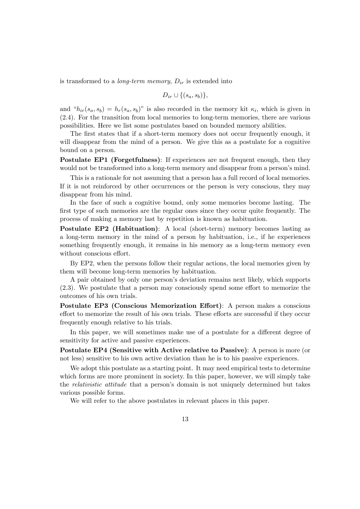is transformed to a *long-term memory*,  $D_{ir}$  is extended into

$$
D_{ir} \cup \{(s_a, s_b)\},\
$$

and " $h_{ir}(s_a, s_b) = h_r(s_a, s_b)$ " is also recorded in the memory kit  $\kappa_i$ , which is given in (2.4). For the transition from local memories to long-term memories, there are various possibilities. Here we list some postulates based on bounded memory abilities.

The first states that if a short-term memory does not occur frequently enough, it will disappear from the mind of a person. We give this as a postulate for a cognitive bound on a person.

Postulate EP1 (Forgetfulness): If experiences are not frequent enough, then they would not be transformed into a long-term memory and disappear from a person's mind.

This is a rationale for not assuming that a person has a full record of local memories. If it is not reinforced by other occurrences or the person is very conscious, they may disappear from his mind.

In the face of such a cognitive bound, only some memories become lasting. The first type of such memories are the regular ones since they occur quite frequently. The process of making a memory last by repetition is known as habituation.

Postulate EP2 (Habituation): A local (short-term) memory becomes lasting as a long-term memory in the mind of a person by habituation, i.e., if he experiences something frequently enough, it remains in his memory as a long-term memory even without conscious effort.

By EP2, when the persons follow their regular actions, the local memories given by them will become long-term memories by habituation.

A pair obtained by only one person's deviation remains next likely, which supports (2.3). We postulate that a person may consciously spend some effort to memorize the outcomes of his own trials.

Postulate EP3 (Conscious Memorization Effort): A person makes a conscious effort to memorize the result of his own trials. These efforts are successful if they occur frequently enough relative to his trials.

In this paper, we will sometimes make use of a postulate for a different degree of sensitivity for active and passive experiences.

Postulate EP4 (Sensitive with Active relative to Passive): A person is more (or not less) sensitive to his own active deviation than he is to his passive experiences.

We adopt this postulate as a starting point. It may need empirical tests to determine which forms are more prominent in society. In this paper, however, we will simply take the relativistic attitude that a person's domain is not uniquely determined but takes various possible forms.

We will refer to the above postulates in relevant places in this paper.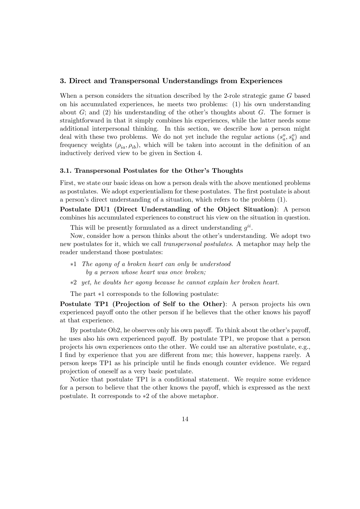## 3. Direct and Transpersonal Understandings from Experiences

When a person considers the situation described by the 2-role strategic game G based on his accumulated experiences, he meets two problems: (1) his own understanding about  $G$ ; and (2) his understanding of the other's thoughts about  $G$ . The former is straightforward in that it simply combines his experiences, while the latter needs some additional interpersonal thinking. In this section, we describe how a person might deal with these two problems. We do not yet include the regular actions  $(s_a^o, s_b^o)$  and frequency weights  $(\rho_{ia}, \rho_{ib})$ , which will be taken into account in the definition of an inductively derived view to be given in Section 4.

#### 3.1. Transpersonal Postulates for the Other's Thoughts

First, we state our basic ideas on how a person deals with the above mentioned problems as postulates. We adopt experientialism for these postulates. The first postulate is about a person's direct understanding of a situation, which refers to the problem (1).

Postulate DU1 (Direct Understanding of the Object Situation): A person combines his accumulated experiences to construct his view on the situation in question.

This will be presently formulated as a direct understanding  $g^{ii}$ .

Now, consider how a person thinks about the other's understanding. We adopt two new postulates for it, which we call transpersonal postulates. A metaphor may help the reader understand those postulates:

- ∗1 The agony of a broken heart can only be understood by a person whose heart was once broken;
- ∗2 yet, he doubts her agony because he cannot explain her broken heart.

The part ∗1 corresponds to the following postulate:

Postulate TP1 (Projection of Self to the Other): A person projects his own experienced payoff onto the other person if he believes that the other knows his payoff at that experience.

By postulate Ob2, he observes only his own payoff. To think about the other's payoff, he uses also his own experienced payoff. By postulate TP1, we propose that a person projects his own experiences onto the other. We could use an alterative postulate, e.g., I find by experience that you are different from me; this however, happens rarely. A person keeps TP1 as his principle until he finds enough counter evidence. We regard projection of oneself as a very basic postulate.

Notice that postulate TP1 is a conditional statement. We require some evidence for a person to believe that the other knows the payoff, which is expressed as the next postulate. It corresponds to ∗2 of the above metaphor.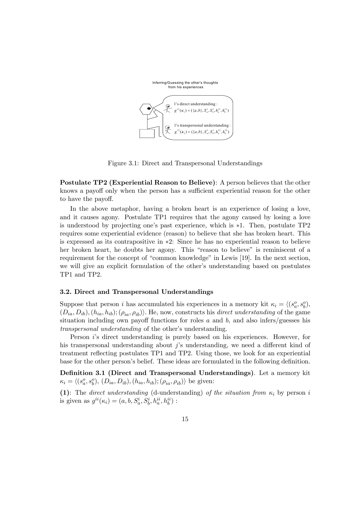

Figure 3.1: Direct and Transpersonal Understandings

Postulate TP2 (Experiential Reason to Believe): A person believes that the other knows a payoff only when the person has a sufficient experiential reason for the other to have the payoff.

In the above metaphor, having a broken heart is an experience of losing a love, and it causes agony. Postulate TP1 requires that the agony caused by losing a love is understood by projecting one's past experience, which is ∗1. Then, postulate TP2 requires some experiential evidence (reason) to believe that she has broken heart. This is expressed as its contrapositive in ∗2: Since he has no experiential reason to believe her broken heart, he doubts her agony. This "reason to believe" is reminiscent of a requirement for the concept of "common knowledge" in Lewis [19]. In the next section, we will give an explicit formulation of the other's understanding based on postulates TP1 and TP2.

#### 3.2. Direct and Transpersonal Understandings

Suppose that person *i* has accumulated his experiences in a memory kit  $\kappa_i = \langle (s_a^o, s_b^o),$  $(D_{ia}, D_{ib}), (h_{ia}, h_{ib}); (\rho_{ia}, \rho_{ib})$ . He, now, constructs his direct understanding of the game situation including own payoff functions for roles  $a$  and  $b$ , and also infers/guesses his transpersonal understanding of the other's understanding.

Person i's direct understanding is purely based on his experiences. However, for his transpersonal understanding about j's understanding, we need a different kind of treatment reflecting postulates TP1 and TP2. Using those, we look for an experiential base for the other person's belief. These ideas are formulated in the following definition.

Definition 3.1 (Direct and Transpersonal Understandings). Let a memory kit  $\kappa_i = \langle (s_a^o, s_b^o), (D_{ia}, D_{ib}), (h_{ia}, h_{ib}); (\rho_{ia}, \rho_{ib}) \rangle$  be given:

(1): The direct understanding (d-understanding) of the situation from  $\kappa_i$  by person i is given as  $g^{ii}(\kappa_i) = (a, b, S_a^i, S_b^i, h_a^{ii}, h_b^{ii})$ :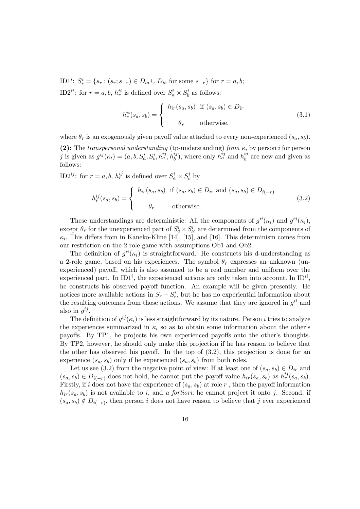ID1<sup>*i*</sup>:  $S_r^i = \{s_r : (s_r; s_{-r}) \in D_{ia} \cup D_{ib} \text{ for some } s_{-r}\}\text{ for } r = a, b;$ ID2<sup>*ii*</sup>: for  $r = a, b, h_r^{ii}$  is defined over  $S_a^i \times S_b^i$  as follows:

$$
h_r^{ii}(s_a, s_b) = \begin{cases} h_{ir}(s_a, s_b) & \text{if } (s_a, s_b) \in D_{ir} \\ \theta_r & \text{otherwise,} \end{cases}
$$
 (3.1)

where  $\theta_r$  is an exogenously given payoff value attached to every non-experienced  $(s_a, s_b)$ .

(2): The transpersonal understanding (tp-understanding) from  $\kappa_i$  by person i for person j is given as  $g^{ij}(\kappa_i)=(a, b, S_a^i, S_b^i, h_a^{ij}, h_b^{ij})$ , where only  $h_a^{ij}$  and  $h_b^{ij}$  are new and given as follows:

ID2<sup>*ij*</sup>: for  $r = a, b, h_r^{ij}$  is defined over  $S_a^i \times S_b^i$  by

$$
h_r^{ij}(s_a, s_b) = \begin{cases} h_{ir}(s_a, s_b) & \text{if } (s_a, s_b) \in D_{ir} \text{ and } (s_a, s_b) \in D_{i(-r)} \\ \theta_r & \text{otherwise.} \end{cases}
$$
(3.2)

These understandings are deterministic: All the components of  $g^{ii}(\kappa_i)$  and  $g^{ij}(\kappa_i)$ , except  $\theta_r$  for the unexperienced part of  $S_a^i \times S_b^i$ , are determined from the components of  $\kappa_i$ . This differs from in Kaneko-Kline [14], [15], and [16]. This determinism comes from our restriction on the 2-role game with assumptions Ob1 and Ob2.

The definition of  $q^{ii}(\kappa_i)$  is straightforward. He constructs his d-understanding as a 2-role game, based on his experiences. The symbol  $\theta_r$  expresses an unknown (unexperienced) payoff, which is also assumed to be a real number and uniform over the experienced part. In  $ID1<sup>i</sup>$ , the experienced actions are only taken into account. In  $ID<sup>ii</sup>$ , he constructs his observed payoff function. An example will be given presently. He notices more available actions in  $S_r - S_r^i$ , but he has no experiential information about the resulting outcomes from those actions. We assume that they are ignored in  $g^{ii}$  and also in  $g^{ij}$ .

The definition of  $g^{ij}(\kappa_i)$  is less straightforward by its nature. Person i tries to analyze the experiences summarized in  $\kappa_i$  so as to obtain some information about the other's payoffs. By TP1, he projects his own experienced payoffs onto the other's thoughts. By TP2, however, he should only make this projection if he has reason to believe that the other has observed his payoff. In the top of (3.2), this projection is done for an experience  $(s_a, s_b)$  only if he experienced  $(s_a, s_b)$  from both roles.

Let us see (3.2) from the negative point of view: If at least one of  $(s_a, s_b) \in D_{ir}$  and  $(s_a, s_b) \in D_{i(-r)}$  does not hold, he cannot put the payoff value  $h_{ir}(s_a, s_b)$  as  $h^{ij}_r(s_a, s_b)$ . Firstly, if i does not have the experience of  $(s_a, s_b)$  at role r, then the payoff information  $h_{ir}(s_a, s_b)$  is not available to i, and a fortiori, he cannot project it onto j. Second, if  $(s_a, s_b) \notin D_{i(-r)}$ , then person i does not have reason to believe that j ever experienced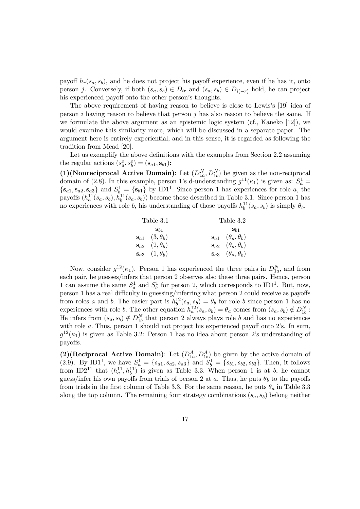payoff  $h_r(s_a, s_b)$ , and he does not project his payoff experience, even if he has it, onto person j. Conversely, if both  $(s_a, s_b) \in D_{ir}$  and  $(s_a, s_b) \in D_{i(-r)}$  hold, he can project his experienced payoff onto the other person's thoughts.

The above requirement of having reason to believe is close to Lewis's [19] idea of person  $i$  having reason to believe that person  $j$  has also reason to believe the same. If we formulate the above argument as an epistemic logic system (cf., Kaneko [12]), we would examine this similarity more, which will be discussed in a separate paper. The argument here is entirely experiential, and in this sense, it is regarded as following the tradition from Mead [20].

Let us exemplify the above definitions with the examples from Section 2.2 assuming the regular actions  $(s_a^o, s_b^o) = (\mathbf{s}_{a1}, \mathbf{s}_{b1})$ :

(1)(Nonreciprocal Active Domain): Let  $(D_{1a}^N, D_{1b}^N)$  be given as the non-reciprocal domain of (2.8). In this example, person 1's d-understanding  $g^{11}(\kappa_1)$  is given as:  $S_a^1$  =  ${s_{a1}, s_{a2}, s_{a3}}$  and  $S_{b-1}^1 = {s_{b1}}$  by ID1<sup>1</sup>. Since person 1 has experiences for role a, the payoffs  $(h_a^{11}(s_a, s_b), h_b^{11}(s_a, s_b))$  become those described in Table 3.1. Since person 1 has no experiences with role b, his understanding of those payoffs  $h_b^{11}(s_a, s_b)$  is simply  $\theta_b$ .

| Table 3.1                    | Table 3.2                                    |  |  |
|------------------------------|----------------------------------------------|--|--|
| $\mathbf{S}_{b1}$            | $\mathbf{s}_{b1}$                            |  |  |
| $s_{a1} \quad (3, \theta_b)$ | $s_{a1}$ $(\theta_a, \theta_b)$              |  |  |
| $s_{a2}$ $(2, \theta_b)$     | $s_{a2}$ $(\theta_a, \theta_b)$              |  |  |
| $s_{a3}$ $(1, \theta_b)$     | $\mathbf{s}_{a3} \quad (\theta_a, \theta_b)$ |  |  |

Now, consider  $g^{12}(\kappa_1)$ . Person 1 has experienced the three pairs in  $D_{1a}^N$ , and from each pair, he guesses/infers that person 2 observes also these three pairs. Hence, person 1 can assume the same  $S_a^1$  and  $S_b^1$  for person 2, which corresponds to ID1<sup>1</sup>. But, now, person 1 has a real difficulty in guessing/inferring what person 2 could receive as payoffs from roles a and b. The easier part is  $h_b^{12}(s_a, s_b) = \theta_b$  for role b since person 1 has no experiences with role b. The other equation  $h_a^{12}(s_a, s_b) = \theta_a$  comes from  $(s_a, s_b) \notin D_{1b}^N$ : He infers from  $(s_a, s_b) \notin D_{1b}^N$  that person 2 always plays role b and has no experiences with role a. Thus, person 1 should not project his experienced payoff onto 2's. In sum,  $g^{12}(\kappa_1)$  is given as Table 3.2: Person 1 has no idea about person 2's understanding of payoffs.

(2)(Reciprocal Active Domain): Let  $(D_{1a}^A, D_{1b}^A)$  be given by the active domain of (2.9). By ID1<sup>1</sup>, we have  $S_a^1 = \{s_{a1}, s_{a2}, s_{a3}\}\$  and  $S_b^1 = \{s_{b1}, s_{b2}, s_{b3}\}\$ . Then, it follows from ID2<sup>11</sup> that  $(h_a^{11}, h_b^{11})$  is given as Table 3.3. When person 1 is at b, he cannot guess/infer his own payoffs from trials of person 2 at a. Thus, he puts  $\theta_b$  to the payoffs from trials in the first column of Table 3.3. For the same reason, he puts  $\theta_a$  in Table 3.3 along the top column. The remaining four strategy combinations  $(s_a, s_b)$  belong neither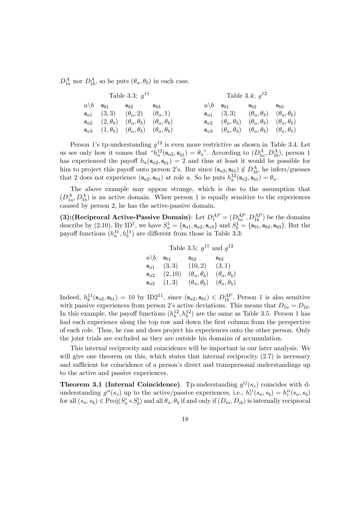$D_{1a}^A$  nor  $D_{1b}^A$ , so he puts  $(\theta_a, \theta_b)$  in each case.

| Table 3.3; $q^{11}$ |  |                                                                                 | Table 3.4; $q^{12}$ |  |                                 |                                                                                        |          |
|---------------------|--|---------------------------------------------------------------------------------|---------------------|--|---------------------------------|----------------------------------------------------------------------------------------|----------|
|                     |  | $a \backslash b$ s <sub>b1</sub> s <sub>b2</sub>                                | $\mathbf{S}_{b,3}$  |  | $a\backslash b$ s <sub>b1</sub> | $\mathbf{s}_{b2}$                                                                      | $S_{b3}$ |
|                     |  | $s_{a1}$ (3,3) $(\theta_a, 2)$ $(\theta_a, 1)$                                  |                     |  |                                 | $\mathbf{s}_{a1}$ (3,3) $(\theta_a, \theta_b)$ $(\theta_a, \theta_b)$                  |          |
|                     |  | $\mathbf{s}_{a2}$ $(2, \theta_b)$ $(\theta_a, \theta_b)$ $(\theta_a, \theta_b)$ |                     |  |                                 | $\mathbf{s}_{a2}$ $(\theta_a, \theta_b)$ $(\theta_a, \theta_b)$ $(\theta_a, \theta_b)$ |          |
|                     |  | $\mathbf{s}_{a3}$ $(1, \theta_b)$ $(\theta_a, \theta_b)$ $(\theta_a, \theta_b)$ |                     |  |                                 | $\mathbf{s}_{a3}$ $(\theta_a, \theta_b)$ $(\theta_a, \theta_b)$ $(\theta_a, \theta_b)$ |          |

Person 1's tp-understanding  $g^{12}$  is even more restrictive as shown in Table 3.4. Let us see only how it comes that  ${}^{\alpha}h_a^{12}(\mathbf{s}_{a2}, \mathbf{s}_{b1}) = \theta_a$ ". According to  $(D_{1a}^A, D_{1b}^A)$ , person 1 has experienced the payoff  $h_a(\mathbf{s}_{a2}, \mathbf{s}_{b1})=2$  and thus at least it would be possible for him to project this payoff onto person 2's. But since  $(\mathbf{s}_{a2}, \mathbf{s}_{b1}) \notin D_{1b}^A$ , he infers/guesses that 2 does not experience  $(\mathbf{s}_{a2}, \mathbf{s}_{b1})$  at role a. So he puts  $h_a^{12}(\mathbf{s}_{a2}, \mathbf{s}_{b1}) = \theta_a$ .

The above example may appear strange, which is due to the assumption that  $(D_{1a}^A, D_{1b}^A)$  is an active domain. When person 1 is equally sensitive to the experiences caused by person 2, he has the active-passive domain.

(3): (Reciprocal Active-Passive Domain): Let  $D_1^{AP} = (D_{1a}^{AP}, D_{1b}^{AP})$  be the domains describe by (2.10). By ID<sup>1</sup>, we have  $S_a^1 = {\mathbf{s}_{a1}, \mathbf{s}_{a2}, \mathbf{s}_{a3}}$  and  $S_b^1 = {\mathbf{s}_{b1}, \mathbf{s}_{b2}, \mathbf{s}_{b3}}$ . But the payoff functions  $(h_a^{11}, h_b^{11})$  are different from those in Table 3.3:

|                   |                   | Table 3.5; $g^{11}$ and $g^{12}$ |                        |
|-------------------|-------------------|----------------------------------|------------------------|
| $a\backslash b$   | $\mathbf{s}_{b1}$ | $S_{b2}$                         | $S_{b,3}$              |
| $\mathbf{s}_{a1}$ | (3,3)             | (10, 2)                          | (3,1)                  |
| $\mathbf{s}_{a2}$ | (2, 10)           | $(\theta_a, \theta_b)$           | $(\theta_a, \theta_b)$ |
| $S_{a}$ 3         | (1,3)             | $(\theta_a, \theta_b)$           | $(\theta_a, \theta_b)$ |

Indeed,  $h_b^{11}(\mathbf{s}_{a2}, \mathbf{s}_{b1}) = 10$  by ID2<sup>11</sup>, since  $(\mathbf{s}_{a2}, \mathbf{s}_{b1}) \in D_{1b}^{AP}$ . Person 1 is also sensitive with passive experiences from person 2's active deviations. This means that  $D_{1a} = D_{1b}$ . In this example, the payoff functions  $(h_a^{12}, h_b^{12})$  are the same as Table 3.5. Person 1 has had each experience along the top row and down the first column from the perspective of each role. Thus, he can and does project his experiences onto the other person. Only the joint trials are excluded as they are outside his domains of accumulation.

This internal reciprocity and coincidence will be important in our later analysis. We will give one theorem on this, which states that internal reciprocity  $(2.7)$  is necessary and sufficient for coincidence of a person's direct and transpersonal understandings up to the active and passive experiences.

**Theorem 3.1 (Internal Coincidence).** Tp-understanding  $g^{ij}(\kappa_i)$  coincides with dunderstanding  $g^{ii}(\kappa_i)$  up to the active/passive experiences, i.e.,  $h^{ij}_r(s_a, s_b) = h^{ii}_r(s_a, s_b)$ for all  $(s_a, s_b) \in Proj(S_a^i \times S_b^i)$  and all  $\theta_a, \theta_b$  if and only if  $(D_{ia}, D_{ib})$  is internally reciprocal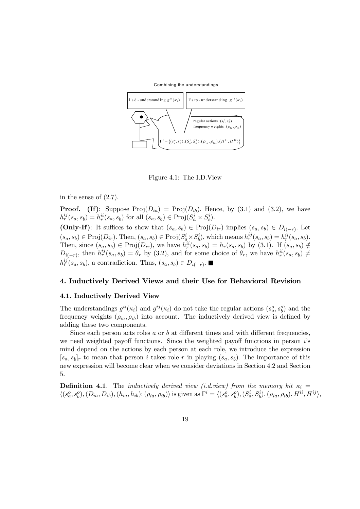Combining the understandings



Figure 4.1: The I.D.View

in the sense of  $(2.7)$ .

**Proof.** (If): Suppose  $\text{Proj}(D_{ia}) = \text{Proj}(D_{ib})$ . Hence, by (3.1) and (3.2), we have  $h_r^{ij}(s_a, s_b) = h_r^{ii}(s_a, s_b)$  for all  $(s_a, s_b) \in \text{Proj}(S_a^i \times S_b^i)$ . (Only-If): It suffices to show that  $(s_a, s_b) \in Proj(D_{ir})$  implies  $(s_a, s_b) \in D_{i(-r)}$ . Let

 $(s_a, s_b) \in \text{Proj}(D_{ir})$ . Then,  $(s_a, s_b) \in \text{Proj}(S_a^i \times S_b^i)$ , which means  $h_r^{ij}(s_a, s_b) = h_r^{ii}(s_a, s_b)$ . Then, since  $(s_a, s_b) \in \text{Proj}(D_{ir})$ , we have  $h_r^{ii}(s_a, s_b) = h_r(s_a, s_b)$  by (3.1). If  $(s_a, s_b) \notin$  $D_{i(-r)}$ , then  $h_r^{ij}(s_a, s_b) = \theta_r$  by (3.2), and for some choice of  $\theta_r$ , we have  $h_r^{ii}(s_a, s_b) \neq$  $h_r^{ij}(s_a, s_b)$ , a contradiction. Thus,  $(s_a, s_b) \in D_{i(-r)}$ .

## 4. Inductively Derived Views and their Use for Behavioral Revision

#### 4.1. Inductively Derived View

The understandings  $g^{ii}(\kappa_i)$  and  $g^{ij}(\kappa_i)$  do not take the regular actions  $(s_a^o, s_b^o)$  and the frequency weights  $(\rho_{ia}, \rho_{ib})$  into account. The inductively derived view is defined by adding these two components.

Since each person acts roles  $a$  or  $b$  at different times and with different frequencies, we need weighted payoff functions. Since the weighted payoff functions in person is mind depend on the actions by each person at each role, we introduce the expression  $[s_a, s_b]_r$  to mean that person i takes role r in playing  $(s_a, s_b)$ . The importance of this new expression will become clear when we consider deviations in Section 4.2 and Section 5.

**Definition 4.1**. The *inductively derived view (i.d.view)* from the memory kit  $\kappa_i =$  $\langle (s_a^o, s_b^o), (D_{ia}, D_{ib}), (h_{ia}, h_{ib}); (\rho_{ia}, \rho_{ib}) \rangle$  is given as  $\Gamma^i = \langle (s_a^o, s_b^o), (S_a^i, S_b^i), (\rho_{ia}, \rho_{ib}), H^{ii}, H^{ij} \rangle$ ,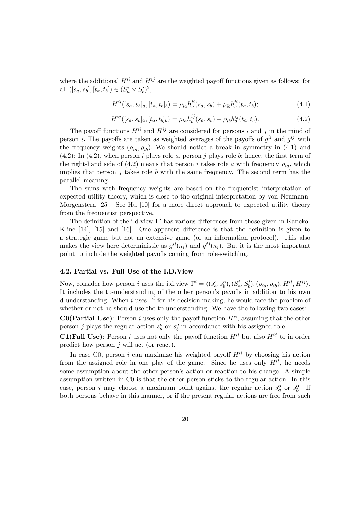where the additional  $H^{ii}$  and  $H^{ij}$  are the weighted payoff functions given as follows: for all  $([s_a, s_b], [t_a, t_b]) \in (S_a^i \times S_b^i)^2$ ,

$$
H^{ii}([s_a, s_b]_a, [t_a, t_b]_b) = \rho_{ia} h_a^{ii}(s_a, s_b) + \rho_{ib} h_b^{ii}(t_a, t_b); \tag{4.1}
$$

$$
H^{ij}([s_a, s_b]_a, [t_a, t_b]_b) = \rho_{ia} h_b^{ij}(s_a, s_b) + \rho_{ib} h_a^{ij}(t_a, t_b).
$$
\n(4.2)

The payoff functions  $H^{ii}$  and  $H^{ij}$  are considered for persons i and j in the mind of person i. The payoffs are taken as weighted averages of the payoffs of  $g^{ii}$  and  $g^{ij}$  with the frequency weights  $(\rho_{ia}, \rho_{ib})$ . We should notice a break in symmetry in (4.1) and  $(4.2)$ : In  $(4.2)$ , when person *i* plays role *a*, person *j* plays role *b*; hence, the first term of the right-hand side of (4.2) means that person i takes role a with frequency  $\rho_{ia}$ , which implies that person  $j$  takes role  $b$  with the same frequency. The second term has the parallel meaning.

The sums with frequency weights are based on the frequentist interpretation of expected utility theory, which is close to the original interpretation by von Neumann-Morgenstern [25]. See Hu [10] for a more direct approach to expected utility theory from the frequentist perspective.

The definition of the i.d.view  $\Gamma^i$  has various differences from those given in Kaneko-Kline [14], [15] and [16]. One apparent difference is that the definition is given to a strategic game but not an extensive game (or an information protocol). This also makes the view here deterministic as  $g^{ii}(\kappa_i)$  and  $g^{ij}(\kappa_i)$ . But it is the most important point to include the weighted payoffs coming from role-switching.

#### 4.2. Partial vs. Full Use of the I.D.View

Now, consider how person *i* uses the i.d.view  $\Gamma^i = \langle (s_a^o, s_b^o), (S_a^i, S_b^i), (\rho_{ia}, \rho_{ib}), H^{ii}, H^{ij} \rangle$ . It includes the tp-understanding of the other person's payoffs in addition to his own d-understanding. When i uses  $\Gamma^i$  for his decision making, he would face the problem of whether or not he should use the tp-understanding. We have the following two cases:

**C0(Partial Use)**: Person i uses only the payoff function  $H^{ii}$ , assuming that the other person j plays the regular action  $s_a^o$  or  $s_b^o$  in accordance with his assigned role.

**C1(Full Use)**: Person *i* uses not only the payoff function  $H^{ii}$  but also  $H^{ij}$  to in order predict how person  $j$  will act (or react).

In case C0, person i can maximize his weighted payoff  $H^{ii}$  by choosing his action from the assigned role in one play of the game. Since he uses only  $H^{ii}$ , he needs some assumption about the other person's action or reaction to his change. A simple assumption written in C0 is that the other person sticks to the regular action. In this case, person *i* may choose a maximum point against the regular action  $s_a^o$  or  $s_b^o$ . If both persons behave in this manner, or if the present regular actions are free from such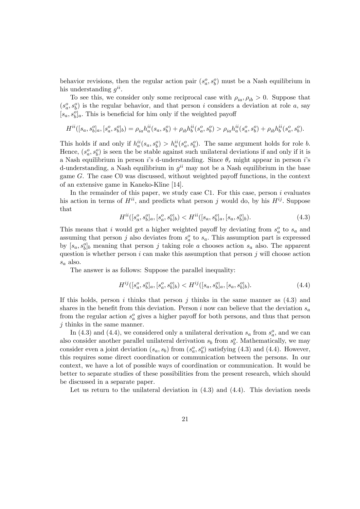behavior revisions, then the regular action pair  $(s_a^o, s_b^o)$  must be a Nash equilibrium in his understanding  $q^{ii}$ .

To see this, we consider only some reciprocal case with  $\rho_{ia}, \rho_{ib} > 0$ . Suppose that  $(s_a^o, s_b^o)$  is the regular behavior, and that person i considers a deviation at role a, say  $[s_a, s_b^o]_a$ . This is beneficial for him only if the weighted payoff

$$
H^{ii}([s_a, s_b^o]_a, [s_a^o, s_b^o]_b) = \rho_{ia} h_a^{ii}(s_a, s_b^o) + \rho_{ib} h_b^{ii}(s_a^o, s_b^o) > \rho_{ia} h_a^{ii}(s_a^o, s_b^o) + \rho_{ib} h_b^{ii}(s_a^o, s_b^o).
$$

This holds if and only if  $h_a^{ii}(s_a, s_b^o) > h_a^{ii}(s_a^o, s_b^o)$ . The same argument holds for role b. Hence,  $(s_a^o, s_b^o)$  is seen the be stable against such unilateral deviations if and only if it is a Nash equilibrium in person *i*'s d-understanding. Since  $\theta_r$  might appear in person *i*'s d-understanding, a Nash equilibrium in  $g^{ii}$  may not be a Nash equilibrium in the base game G. The case C0 was discussed, without weighted payoff functions, in the context of an extensive game in Kaneko-Kline [14].

In the remainder of this paper, we study case C1. For this case, person  $i$  evaluates his action in terms of  $H^{ii}$ , and predicts what person j would do, by his  $H^{ij}$ . Suppose that

$$
H^{ii}([s_a^o, s_b^o]_a, [s_a^o, s_b^o]_b) < H^{ii}([s_a, s_b^o]_a, [s_a, s_b^o]_b). \tag{4.3}
$$

This means that i would get a higher weighted payoff by deviating from  $s_a^o$  to  $s_a$  and assuming that person j also deviates from  $s_a^o$  to  $s_a$ . This assumption part is expressed by  $[s_a, s_b^o]_b$  meaning that person j taking role a chooses action  $s_a$  also. The apparent question is whether person  $i$  can make this assumption that person  $j$  will choose action  $s_a$  also.

The answer is as follows: Suppose the parallel inequality:

$$
H^{ij}([s_a^o, s_b^o]_a, [s_a^o, s_b^o]_b) < H^{ij}([s_a, s_b^o]_a, [s_a, s_b^o]_b). \tag{4.4}
$$

If this holds, person i thinks that person j thinks in the same manner as  $(4.3)$  and shares in the benefit from this deviation. Person i now can believe that the deviation  $s_a$ from the regular action  $s_a^o$  gives a higher payoff for both persons, and thus that person j thinks in the same manner.

In (4.3) and (4.4), we considered only a unilateral derivation  $s_a$  from  $s_a^o$ , and we can also consider another parallel unilateral derivation  $s_b$  from  $s_b^o$ . Mathematically, we may consider even a joint deviation  $(s_a, s_b)$  from  $(s_a^o, s_b^o)$  satisfying (4.3) and (4.4). However, this requires some direct coordination or communication between the persons. In our context, we have a lot of possible ways of coordination or communication. It would be better to separate studies of these possibilities from the present research, which should be discussed in a separate paper.

Let us return to the unilateral deviation in  $(4.3)$  and  $(4.4)$ . This deviation needs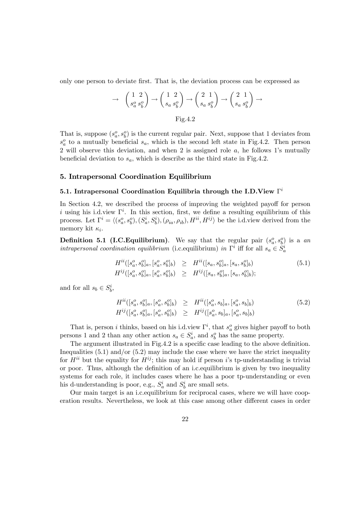only one person to deviate first. That is, the deviation process can be expressed as

$$
\rightarrow \quad \begin{pmatrix} 1 & 2 \\ s_a^o & s_b^o \end{pmatrix} \rightarrow \begin{pmatrix} 1 & 2 \\ s_a & s_b^o \end{pmatrix} \rightarrow \begin{pmatrix} 2 & 1 \\ s_a & s_b^o \end{pmatrix} \rightarrow \begin{pmatrix} 2 & 1 \\ s_a & s_b^o \end{pmatrix} \rightarrow
$$
  
Fig. 4.2

That is, suppose  $(s_a^o, s_b^o)$  is the current regular pair. Next, suppose that 1 deviates from  $s_a^o$  to a mutually beneficial  $s_a$ , which is the second left state in Fig.4.2. Then person 2 will observe this deviation, and when 2 is assigned role a, he follows 1's mutually beneficial deviation to  $s_a$ , which is describe as the third state in Fig.4.2.

## 5. Intrapersonal Coordination Equilibrium

## 5.1. Intrapersonal Coordination Equilibria through the I.D.View  $\Gamma^i$

In Section 4.2, we described the process of improving the weighted payoff for person i using his i.d.view  $\Gamma^i$ . In this section, first, we define a resulting equilibrium of this process. Let  $\Gamma^i = \langle (s_a^o, s_b^o), (S_a^i, S_b^i), (\rho_{ia}, \rho_{ib}), H^{ii}, H^{ij} \rangle$  be the i.d.view derived from the memory kit  $\kappa_i$ .

**Definition 5.1 (I.C.Equilibrium)**. We say that the regular pair  $(s_a^o, s_b^o)$  is a an intrapersonal coordination equilibrium (i.c. equilibrium) in  $\Gamma^i$  iff for all  $s_a \in \tilde{S}_a^i$ 

$$
H^{ii}([s_a^o, s_b^o]_a, [s_a^o, s_b^o]_b) \geq H^{ii}([s_a, s_b^o]_a, [s_a, s_b^o]_b)
$$
  
\n
$$
H^{ij}([s_a^o, s_b^o]_a, [s_a^o, s_b^o]_b) \geq H^{ij}([s_a, s_b^o]_a, [s_a, s_b^o]_b);
$$
\n(5.1)

and for all  $s_b \in S_b^i$ ,

$$
H^{ii}([s_a^o, s_b^o]_a, [s_a^o, s_b^o]_b) \geq H^{ii}([s_a^o, s_b]_a, [s_a^o, s_b]_b)
$$
\n
$$
H^{ij}([s_a^o, s_b^o]_a, [s_a^o, s_b^o]_b) \geq H^{ij}([s_a^o, s_b]_a, [s_a^o, s_b]_b)
$$
\n
$$
(5.2)
$$

That is, person *i* thinks, based on his i.d.view  $\Gamma^i$ , that  $s_a^o$  gives higher payoff to both persons 1 and 2 than any other action  $s_a \in S_a^i$ , and  $s_b^o$  has the same property.

The argument illustrated in Fig.4.2 is a specific case leading to the above definition. Inequalities  $(5.1)$  and/or  $(5.2)$  may include the case where we have the strict inequality for  $H^{ii}$  but the equality for  $H^{ij}$ ; this may hold if person is to tp-understanding is trivial or poor. Thus, although the definition of an i.c.equilibrium is given by two inequality systems for each role, it includes cases where he has a poor tp-understanding or even his d-understanding is poor, e.g.,  $S_a^i$  and  $S_b^i$  are small sets.

Our main target is an i.c.equilibrium for reciprocal cases, where we will have cooperation results. Nevertheless, we look at this case among other different cases in order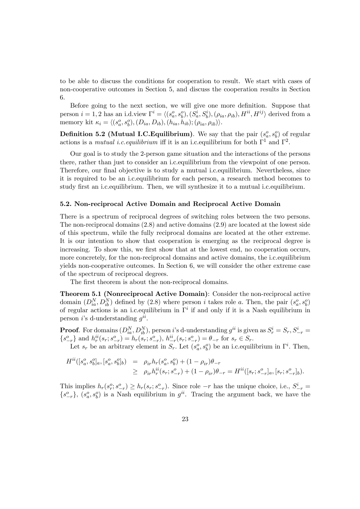to be able to discuss the conditions for cooperation to result. We start with cases of non-cooperative outcomes in Section 5, and discuss the cooperation results in Section 6.

Before going to the next section, we will give one more definition. Suppose that person  $i = 1, 2$  has an i.d.view  $\Gamma^i = \langle (s_a^o, s_b^o), (S_a^i, S_b^i), (\rho_{ia}, \rho_{ib}), H^{ii}, H^{ij} \rangle$  derived from a memory kit  $\kappa_i = \langle (s_a^o, s_b^o), (D_{ia}, D_{ib}), (h_{ia}, h_{ib}); (\rho_{ia}, \rho_{ib}) \rangle.$ 

**Definition 5.2 (Mutual I.C.Equilibrium)**. We say that the pair  $(s_a^o, s_b^o)$  of regular actions is a mutual i.c. equilibrium iff it is an i.c. equilibrium for both  $\Gamma^1$  and  $\Gamma^2$ .

Our goal is to study the 2-person game situation and the interactions of the persons there, rather than just to consider an i.c.equilibrium from the viewpoint of one person. Therefore, our final objective is to study a mutual i.c.equilibrium. Nevertheless, since it is required to be an i.c.equilibrium for each person, a research method becomes to study first an i.c.equilibrium. Then, we will synthesize it to a mutual i.c.equilibrium.

## 5.2. Non-reciprocal Active Domain and Reciprocal Active Domain

There is a spectrum of reciprocal degrees of switching roles between the two persons. The non-reciprocal domains (2.8) and active domains (2.9) are located at the lowest side of this spectrum, while the fully reciprocal domains are located at the other extreme. It is our intention to show that cooperation is emerging as the reciprocal degree is increasing. To show this, we first show that at the lowest end, no cooperation occurs, more concretely, for the non-reciprocal domains and active domains, the i.c.equilibrium yields non-cooperative outcomes. In Section 6, we will consider the other extreme case of the spectrum of reciprocal degrees.

The first theorem is about the non-reciprocal domains.

Theorem 5.1 (Nonreciprocal Active Domain): Consider the non-reciprocal active domain  $(D_{ia}^N, D_{ib}^N)$  defined by  $(2.8)$  where person *i* takes role *a*. Then, the pair  $(s_a^o, s_b^o)$ of regular actions is an i.c. equilibrium in  $\Gamma^i$  if and only if it is a Nash equilibrium in person i's d-understanding  $q^{ii}$ .

**Proof.** For domains  $(D_{ia}^N, D_{ib}^N)$ , person i's d-understanding  $g^{ii}$  is given as  $S_r^i = S_r, S_{-r}^i =$  ${s^o_{-r}}$  and  $h_r^{ii}(s_r; s^o_{-r}) = h_r(s_r; s^o_{-r}),$   $h_{-r}^{ii}(s_r; s^o_{-r}) = \theta_{-r}$  for  $s_r \in S_r$ .

Let  $s_r$  be an arbitrary element in  $S_r$ . Let  $(s_a^o, s_b^o)$  be an i.c. equilibrium in  $\Gamma^i$ . Then,

$$
H^{ii}([s_a^o, s_b^o]_a, [s_a^o, s_b^o]_b) = \rho_{ir} h_r(s_a^o, s_b^o) + (1 - \rho_{ir})\theta_{-r}
$$
  
\n
$$
\geq \rho_{ir} h_r^{ii}(s_r; s_{-r}^o) + (1 - \rho_{ir})\theta_{-r} = H^{ii}([s_r; s_{-r}^o]_a, [s_r; s_{-r}^o]_b).
$$

This implies  $h_r(s_r^o; s_{-r}^o) \geq h_r(s_r; s_{-r}^o)$ . Since role  $-r$  has the unique choice, i.e.,  $S_{-r}^i =$  $\{s_{-r}^o\}$ ,  $(s_a^o, s_b^o)$  is a Nash equilibrium in  $g^{ii}$ . Tracing the argument back, we have the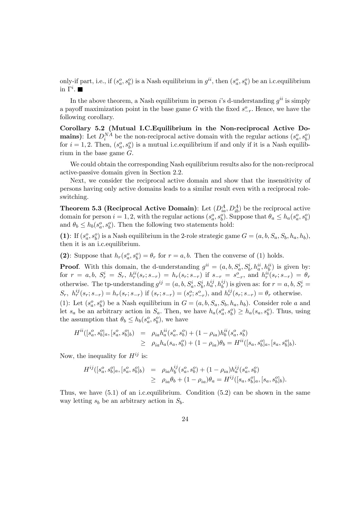only-if part, i.e., if  $(s_a^o, s_b^o)$  is a Nash equilibrium in  $g^{ii}$ , then  $(s_a^o, s_b^o)$  be an i.c. equilibrium in  $\Gamma^i$ .

In the above theorem, a Nash equilibrium in person i's d-understanding  $q^{ii}$  is simply a payoff maximization point in the base game G with the fixed  $s_{-r}^{\circ}$ . Hence, we have the following corollary.

Corollary 5.2 (Mutual I.C.Equilibrium in the Non-reciprocal Active Domains): Let  $D_i^{NA}$  be the non-reciprocal active domain with the regular actions  $(s_a^o, s_b^o)$ for  $i = 1, 2$ . Then,  $(s_a^o, s_b^o)$  is a mutual i.c. equilibrium if and only if it is a Nash equilibrium in the base game  $G$ .

We could obtain the corresponding Nash equilibrium results also for the non-reciprocal active-passive domain given in Section 2.2.

Next, we consider the reciprocal active domain and show that the insensitivity of persons having only active domains leads to a similar result even with a reciprocal roleswitching.

**Theorem 5.3 (Reciprocal Active Domain)**: Let  $(D_{ia}^A, D_{ib}^A)$  be the reciprocal active domain for person  $i = 1, 2$ , with the regular actions  $(s_a^o, s_b^o)$ . Suppose that  $\theta_a \leq h_a(s_a^o, s_b^o)$ and  $\theta_b \leq h_b(s_a^o, s_b^o)$ . Then the following two statements hold:

(1): If  $(s_a^o, s_b^o)$  is a Nash equilibrium in the 2-role strategic game  $G = (a, b, S_a, S_b, h_a, h_b)$ , then it is an i.c.equilibrium.

(2): Suppose that  $h_r(s_a^o, s_b^o) = \theta_r$  for  $r = a, b$ . Then the converse of (1) holds.

**Proof.** With this domain, the d-understanding  $g^{ii} = (a, b, S_a^i, S_b^i, h_a^{ii}, h_b^{ii})$  is given by:  $\text{for } r = a, b, S_r^i = S_r, h_r^{ii}(s_r; s_{-r}) = h_r(s_r; s_{-r}) \text{ if } s_{-r} = s_{-r}^o, \text{ and } h_r^{ii}(s_r; s_{-r}) = \theta_r$ otherwise. The tp-understanding  $g^{ij} = (a, b, S_a^i, S_b^i, h_a^{ij}, h_b^{ij})$  is given as: for  $r = a, b, S_r^i =$  $S_r$ ,  $h_r^{ij}(s_r; s_{-r}) = h_r(s_r; s_{-r})$  if  $(s_r; s_{-r}) = (s_r^o; s_{-r}^o)$ , and  $h_r^{ij}(s_r; s_{-r}) = \theta_r$  otherwise.

(1): Let  $(s_a^o, s_b^o)$  be a Nash equilibrium in  $G = (a, b, S_a, S_b, h_a, h_b)$ . Consider role a and let  $s_a$  be an arbitrary action in  $S_a$ . Then, we have  $h_a(s_a^o, s_b^o) \geq h_a(s_a, s_b^o)$ . Thus, using the assumption that  $\theta_b \leq h_b(s_a^o, s_b^o)$ , we have

$$
H^{ii}([s_a^o, s_b^o]_a, [s_a^o, s_b^o]_b) = \rho_{ia} h_a^{ii}(s_a^o, s_b^o) + (1 - \rho_{ia}) h_b^{ii}(s_a^o, s_b^o)
$$
  
\n
$$
\geq \rho_{ia} h_a(s_a, s_b^o) + (1 - \rho_{ia}) \theta_b = H^{ii}([s_a, s_b^o]_a, [s_a, s_b^o]_b).
$$

Now, the inequality for  $H^{ij}$  is:

$$
H^{ij}([s_a^o, s_b^o]_a, [s_a^o, s_b^o]_b) = \rho_{ia} h_b^{ij} (s_a^o, s_b^o) + (1 - \rho_{ia}) h_a^{ij} (s_a^o, s_b^o)
$$
  
\n
$$
\geq \rho_{ia} \theta_b + (1 - \rho_{ia}) \theta_a = H^{ij}([s_a, s_b^o]_a, [s_a, s_b^o]_b).
$$

Thus, we have  $(5.1)$  of an i.c. equilibrium. Condition  $(5.2)$  can be shown in the same way letting  $s_b$  be an arbitrary action in  $S_b$ .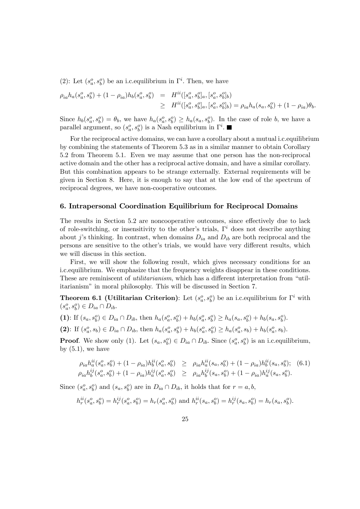(2): Let  $(s_a^o, s_b^o)$  be an i.c. equilibrium in  $\Gamma^i$ . Then, we have

$$
\rho_{ia}h_a(s_a^o, s_b^o) + (1 - \rho_{ia})h_b(s_a^o, s_b^o) = H^{ii}([s_a^o, s_b^o]_a, [s_a^o, s_b^o]_b)
$$
  

$$
\geq H^{ii}([s_a^o, s_b^o]_a, [s_a^o, s_b^o]_b) = \rho_{ia}h_a(s_a, s_b^o) + (1 - \rho_{ia})\theta_b.
$$

Since  $h_b(s_a^o, s_b^o) = \theta_b$ , we have  $h_a(s_a^o, s_b^o) \geq h_a(s_a, s_b^o)$ . In the case of role b, we have a parallel argument, so  $(s_a^o, s_b^o)$  is a Nash equilibrium in  $\Gamma^i$ .

For the reciprocal active domains, we can have a corollary about a mutual i.c.equilibrium by combining the statements of Theorem 5.3 as in a similar manner to obtain Corollary 5.2 from Theorem 5.1. Even we may assume that one person has the non-reciprocal active domain and the other has a reciprocal active domain, and have a similar corollary. But this combination appears to be strange externally. External requirements will be given in Section 8. Here, it is enough to say that at the low end of the spectrum of reciprocal degrees, we have non-cooperative outcomes.

## 6. Intrapersonal Coordination Equilibrium for Reciprocal Domains

The results in Section 5.2 are noncooperative outcomes, since effectively due to lack of role-switching, or insensitivity to the other's trials,  $\Gamma^i$  does not describe anything about j's thinking. In contrast, when domains  $D_{ia}$  and  $D_{ib}$  are both reciprocal and the persons are sensitive to the other's trials, we would have very different results, which we will discuss in this section.

First, we will show the following result, which gives necessary conditions for an i.c.equilibrium. We emphasize that the frequency weights disappear in these conditions. These are reminiscent of *utilitarianism*, which has a different interpretation from "utilitarianism" in moral philosophy. This will be discussed in Section 7.

**Theorem 6.1 (Utilitarian Criterion)**: Let  $(s_a^o, s_b^o)$  be an i.c. equilibrium for  $\Gamma^i$  with  $(s_a^o, s_b^o) \in D_{ia} \cap D_{ib}.$ 

(1): If  $(s_a, s_b^o) \in D_{ia} \cap D_{ib}$ , then  $h_a(s_a^o, s_b^o) + h_b(s_a^o, s_b^o) \geq h_a(s_a, s_b^o) + h_b(s_a, s_b^o)$ .

(2): If  $(s_a^o, s_b) \in D_{ia} \cap D_{ib}$ , then  $h_a(s_a^o, s_b^o) + h_b(s_a^o, s_b^o) \geq h_a(s_a^o, s_b) + h_b(s_a^o, s_b)$ .

**Proof.** We show only (1). Let  $(s_a, s_b^o) \in D_{ia} \cap D_{ib}$ . Since  $(s_a^o, s_b^o)$  is an i.c. equilibrium, by  $(5.1)$ , we have

$$
\rho_{ia} h_a^{ii}(s_a^o, s_b^o) + (1 - \rho_{ia}) h_b^{ii}(s_a^o, s_b^o) \ge \rho_{ia} h_a^{ii}(s_a, s_b^o) + (1 - \rho_{ia}) h_b^{ii}(s_a, s_b^o); \quad (6.1)
$$
  
\n
$$
\rho_{ia} h_b^{ij}(s_a^o, s_b^o) + (1 - \rho_{ia}) h_a^{ij}(s_a^o, s_b^o) \ge \rho_{ia} h_b^{ij}(s_a, s_b^o) + (1 - \rho_{ia}) h_a^{ij}(s_a, s_b^o).
$$

Since  $(s_a^o, s_b^o)$  and  $(s_a, s_b^o)$  are in  $D_{ia} \cap D_{ib}$ , it holds that for  $r = a, b$ ,

$$
h_r^{ii}(s_a^o, s_b^o) = h_r^{ij}(s_a^o, s_b^o) = h_r(s_a^o, s_b^o)
$$
 and 
$$
h_r^{ii}(s_a, s_b^o) = h_r^{ij}(s_a, s_b^o) = h_r(s_a, s_b^o).
$$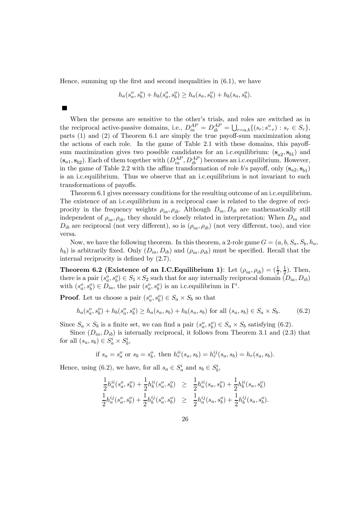Hence, summing up the first and second inequalities in  $(6.1)$ , we have

 $\blacksquare$ 

$$
h_a(s_a^o, s_b^o) + h_b(s_a^o, s_b^o) \ge h_a(s_a, s_b^o) + h_b(s_a, s_b^o).
$$

When the persons are sensitive to the other's trials, and roles are switched as in the reciprocal active-passive domains, i.e.,  $D_{ia}^{AP} = D_{ib}^{AP} = \bigcup_{r=a,b} \{(s_r; s_{-r}^o) : s_r \in S_r\},\$ parts (1) and (2) of Theorem 6.1 are simply the true payoff-sum maximization along the actions of each role. In the game of Table 2.1 with these domains, this payoffsum maximization gives two possible candidates for an i.c. equilibrium:  $(s_{a2}, s_{b1})$  and  $(s_{a1}, s_{b2})$ . Each of them together with  $(D_{ia}^{AP}, D_{ib}^{AP})$  becomes an i.c. equilibrium. However, in the game of Table 2.2 with the affine transformation of role b's payoff, only  $(s_{a2}, s_{b1})$ is an i.c.equilibrium. Thus we observe that an i.c.equilibrium is not invariant to such transformations of payoffs.

Theorem 6.1 gives necessary conditions for the resulting outcome of an i.c.equilibrium. The existence of an i.c.equilibrium in a reciprocal case is related to the degree of reciprocity in the frequency weights  $\rho_{ia}, \rho_{ib}$ . Although  $D_{ia}, D_{ib}$  are mathematically still independent of  $\rho_{ia}, \rho_{ib}$ , they should be closely related in interpretation: When  $D_{ia}$  and  $D_{ib}$  are reciprocal (not very different), so is  $(\rho_{ia}, \rho_{ib})$  (not very different, too), and vice versa.

Now, we have the following theorem. In this theorem, a 2-role game  $G = (a, b, S_a, S_b, h_a)$  $(h_b)$  is arbitrarily fixed. Only  $(D_{ia}, D_{ib})$  and  $(\rho_{ia}, \rho_{ib})$  must be specified. Recall that the internal reciprocity is defined by (2.7).

**Theorem 6.2 (Existence of an I.C.Equilibrium 1)**: Let  $(\rho_{ia}, \rho_{ib}) = (\frac{1}{2}, \frac{1}{2})$ . Then, there is a pair  $(s_a^o, s_b^o) \in S_1 \times S_2$  such that for any internally reciprocal domain  $(D_{ia}, D_{ib})$ with  $(s_a^o, s_b^o) \in D_{ia}$ , the pair  $(s_a^o, s_b^o)$  is an i.c. equilibrium in  $\Gamma^i$ .

**Proof.** Let us choose a pair  $(s_a^o, s_b^o) \in S_a \times S_b$  so that

$$
h_a(s_a^o, s_b^o) + h_b(s_a^o, s_b^o) \ge h_a(s_a, s_b) + h_b(s_a, s_b) \text{ for all } (s_a, s_b) \in S_a \times S_b. \tag{6.2}
$$

Since  $S_a \times S_b$  is a finite set, we can find a pair  $(s_a^o, s_b^o) \in S_a \times S_b$  satisfying (6.2).

Since  $(D_{ia}, D_{ib})$  is internally reciprocal, it follows from Theorem 3.1 and (2.3) that for all  $(s_a, s_b) \in S_a^i \times S_b^i$ ,

if 
$$
s_a = s_a^o
$$
 or  $s_b = s_b^o$ , then  $h_r^{ii}(s_a, s_b) = h_r^{ij}(s_a, s_b) = h_r(s_a, s_b)$ .

Hence, using (6.2), we have, for all  $s_a \in S_a^i$  and  $s_b \in S_b^i$ ,

$$
\frac{1}{2}h_a^{ii}(s_a^o, s_b^o) + \frac{1}{2}h_b^{ii}(s_a^o, s_b^o) \geq \frac{1}{2}h_a^{ii}(s_a, s_b^o) + \frac{1}{2}h_b^{ii}(s_a, s_b^o)
$$
  
\n
$$
\frac{1}{2}h_a^{ij}(s_a^o, s_b^o) + \frac{1}{2}h_b^{ij}(s_a^o, s_b^o) \geq \frac{1}{2}h_a^{ij}(s_a, s_b^o) + \frac{1}{2}h_b^{ij}(s_a, s_b^o).
$$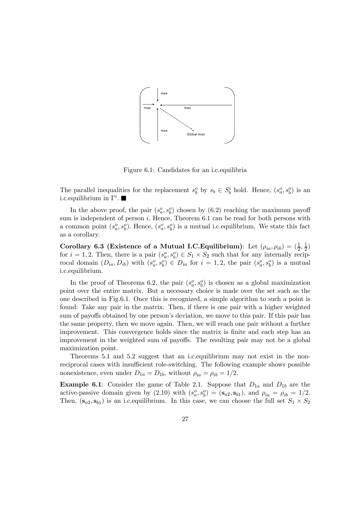

Figure 6.1: Candidates for an i.c.equilibria

The parallel inequalities for the replacement  $s_b^o$  by  $s_b \in S_b^i$  hold. Hence,  $(s_a^o, s_b^o)$  is an i.c.equilibrium in  $\Gamma^i$ .

In the above proof, the pair  $(s_a^o, s_b^o)$  chosen by  $(6.2)$  reaching the maximum payoff sum is independent of person  $i$ . Hence, Theorem 6.1 can be read for both persons with a common point  $(s_a^o, s_b^o)$ . Hence,  $(s_a^o, s_b^o)$  is a mutual i.c. equilibrium. We state this fact as a corollary.

Corollary 6.3 (Existence of a Mutual I.C.Equilibrium): Let  $(\rho_{ia}, \rho_{ib}) = (\frac{1}{2}, \frac{1}{2})$ for  $i = 1, 2$ . Then, there is a pair  $(s_a^o, s_b^o) \in S_1 \times S_2$  such that for any internally reciprocal domain  $(D_{ia}, D_{ib})$  with  $(s_a^o, s_b^o) \in D_{ia}$  for  $i = 1, 2$ , the pair  $(s_a^o, s_b^o)$  is a mutual i.c.equilibrium.

In the proof of Theorems 6.2, the pair  $(s_a^o, s_b^o)$  is chosen as a global maximization point over the entire matrix. But a necessary choice is made over the set such as the one described in Fig.6.1. Once this is recognized, a simple algorithm to such a point is found: Take any pair in the matrix. Then, if there is one pair with a higher weighted sum of payoffs obtained by one person's deviation, we move to this pair. If this pair has the same property, then we move again. Then, we will reach one pair without a further improvement. This convergence holds since the matrix is finite and each step has an improvement in the weighted sum of payoffs. The resulting pair may not be a global maximization point.

Theorems 5.1 and 5.2 suggest that an i.c.equilibrium may not exist in the nonreciprocal cases with insufficient role-switching. The following example shows possible nonexistence, even under  $D_{1a} = D_{1b}$ , without  $\rho_{ia} = \rho_{ib} = 1/2$ .

**Example 6.1**: Consider the game of Table 2.1. Suppose that  $D_{1a}$  and  $D_{1b}$  are the active-passive domain given by (2.10) with  $(s_a^o, s_b^o) = (\mathbf{s}_{a2}, \mathbf{s}_{b1})$ , and  $\rho_{ia} = \rho_{ib} = 1/2$ . Then,  $(s_{a2}, s_{b1})$  is an i.c. equilibrium. In this case, we can choose the full set  $S_1 \times S_2$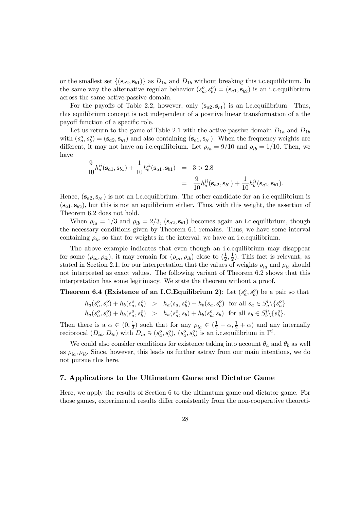or the smallest set  $\{(s_{a2}, s_{b1})\}$  as  $D_{1a}$  and  $D_{1b}$  without breaking this i.c. equilibrium. In the same way the alternative regular behavior  $(s_a^o, s_b^o) = (\mathbf{s}_{a1}, \mathbf{s}_{b2})$  is an i.c. equilibrium across the same active-passive domain.

For the payoffs of Table 2.2, however, only  $(s_{a2}, s_{b1})$  is an i.c. equilibrium. Thus, this equilibrium concept is not independent of a positive linear transformation of a the payoff function of a specific role.

Let us return to the game of Table 2.1 with the active-passive domain  $D_{1a}$  and  $D_{1b}$ with  $(s_a^o, s_b^o) = (\mathbf{s}_{a2}, \mathbf{s}_{b1})$  and also containing  $(\mathbf{s}_{a1}, \mathbf{s}_{b1})$ . When the frequency weights are different, it may not have an i.c. equilibrium. Let  $\rho_{ia} = 9/10$  and  $\rho_{ib} = 1/10$ . Then, we have

$$
\frac{9}{10}h_a^{ii}(\mathbf{s}_{a1}, \mathbf{s}_{b1}) + \frac{1}{10}h_b^{ii}(\mathbf{s}_{a1}, \mathbf{s}_{b1}) = 3 > 2.8
$$
  
= 
$$
\frac{9}{10}h_a^{ii}(\mathbf{s}_{a2}, \mathbf{s}_{b1}) + \frac{1}{10}h_b^{ii}(\mathbf{s}_{a2}, \mathbf{s}_{b1}).
$$

Hence,  $(s_{a2}, s_{b1})$  is not an i.c. equilibrium. The other candidate for an i.c. equilibrium is  $(s_{a1}, s_{b2})$ , but this is not an equilibrium either. Thus, with this weight, the assertion of Theorem 6.2 does not hold.

When  $\rho_{ia} = 1/3$  and  $\rho_{ib} = 2/3$ ,  $(\mathbf{s}_{a2}, \mathbf{s}_{b1})$  becomes again an i.c. equilibrium, though the necessary conditions given by Theorem 6.1 remains. Thus, we have some interval containing  $\rho_{ia}$  so that for weights in the interval, we have an i.c. equilibrium.

The above example indicates that even though an i.c.equilibrium may disappear for some  $(\rho_{ia}, \rho_{ib})$ , it may remain for  $(\rho_{ia}, \rho_{ib})$  close to  $(\frac{1}{2}, \frac{1}{2})$ . This fact is relevant, as stated in Section 2.1, for our interpretation that the values of weights  $\rho_{ia}$  and  $\rho_{ib}$  should not interpreted as exact values. The following variant of Theorem 6.2 shows that this interpretation has some legitimacy. We state the theorem without a proof.

**Theorem 6.4 (Existence of an I.C.Equilibrium 2)**: Let  $(s_a^o, s_b^o)$  be a pair so that

$$
h_a(s_a^o, s_b^o) + h_b(s_a^o, s_b^o) > h_a(s_a, s_b^o) + h_b(s_a, s_b^o) \text{ for all } s_a \in S_a^i \setminus \{s_a^o\} h_a(s_a^o, s_b^o) + h_b(s_a^o, s_b^o) > h_a(s_a^o, s_b) + h_b(s_a^o, s_b) \text{ for all } s_b \in S_b^i \setminus \{s_b^o\}.
$$

Then there is a  $\alpha \in (0, \frac{1}{2})$  such that for any  $\rho_{ia} \in (\frac{1}{2} - \alpha, \frac{1}{2} + \alpha)$  and any internally reciprocal  $(D_{ia}, D_{ib})$  with  $D_{ia} \ni (s_a^o, s_b^o)$ ,  $(s_a^o, s_b^o)$  is an i.c. equilibrium in  $\Gamma^i$ .

We could also consider conditions for existence taking into account  $\theta_a$  and  $\theta_b$  as well as  $\rho_{ia}, \rho_{ib}$ . Since, however, this leads us further astray from our main intentions, we do not pursue this here.

# 7. Applications to the Ultimatum Game and Dictator Game

Here, we apply the results of Section 6 to the ultimatum game and dictator game. For those games, experimental results differ consistently from the non-cooperative theoreti-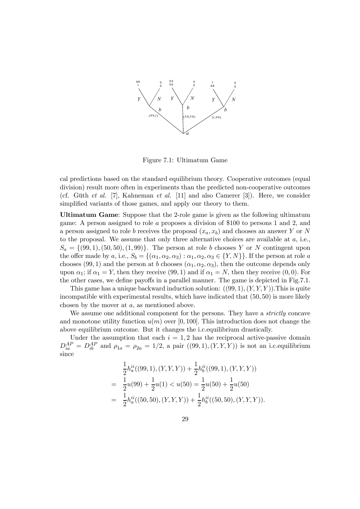

Figure 7.1: Ultimatum Game

cal predictions based on the standard equilibrium theory. Cooperative outcomes (equal division) result more often in experiments than the predicted non-cooperative outcomes (cf. Güth et al. [7], Kahneman et al. [11] and also Camerer [3]). Here, we consider simplified variants of those games, and apply our theory to them.

Ultimatum Game: Suppose that the 2-role game is given as the following ultimatum game: A person assigned to role a proposes a division of \$100 to persons 1 and 2, and a person assigned to role b receives the proposal  $(x_a, x_b)$  and chooses an answer Y or N to the proposal. We assume that only three alternative choices are available at  $a$ , i.e.,  $S_a = \{(99, 1), (50, 50), (1, 99)\}.$  The person at role b chooses Y or N contingent upon the offer made by a, i.e.,  $S_b = \{(\alpha_1, \alpha_2, \alpha_3) : \alpha_1, \alpha_2, \alpha_3 \in \{Y, N\}\}\.$  If the person at role a chooses (99, 1) and the person at b chooses  $(\alpha_1, \alpha_2, \alpha_3)$ , then the outcome depends only upon  $\alpha_1$ ; if  $\alpha_1 = Y$ , then they receive (99, 1) and if  $\alpha_1 = N$ , then they receive (0, 0). For the other cases, we define payoffs in a parallel manner. The game is depicted in Fig.7.1.

This game has a unique backward induction solution:  $((99, 1), (Y, Y, Y))$ . This is quite incompatible with experimental results, which have indicated that (50, 50) is more likely chosen by the mover at a, as mentioned above.

We assume one additional component for the persons. They have a *strictly* concave and monotone utility function  $u(m)$  over [0, 100]. This introduction does not change the above equilibrium outcome. But it changes the i.c.equilibrium drastically.

Under the assumption that each  $i = 1, 2$  has the reciprocal active-passive domain  $D_{ia}^{AP} = D_{ib}^{AP}$  and  $\rho_{1a} = \rho_{2a} = 1/2$ , a pair  $((99,1),(Y,Y,Y))$  is not an i.c. equilibrium since

$$
\frac{1}{2}h_a^{ii}((99,1),(Y,Y,Y)) + \frac{1}{2}h_b^{ii}((99,1),(Y,Y,Y))
$$
\n
$$
= \frac{1}{2}u(99) + \frac{1}{2}u(1) < u(50) = \frac{1}{2}u(50) + \frac{1}{2}u(50)
$$
\n
$$
= \frac{1}{2}h_a^{ii}((50,50),(Y,Y,Y)) + \frac{1}{2}h_b^{ii}((50,50),(Y,Y,Y)).
$$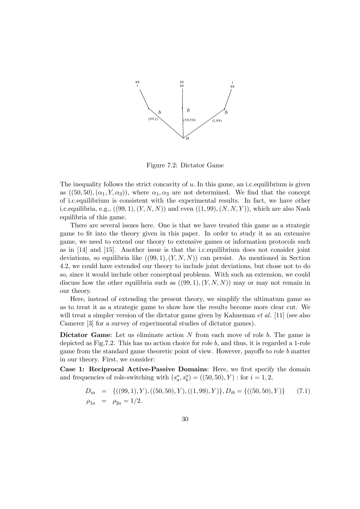

Figure 7.2: Dictator Game

The inequality follows the strict concavity of  $u$ . In this game, an i.c. equilibrium is given as  $((50,50),(\alpha_1,Y,\alpha_3))$ , where  $\alpha_1,\alpha_3$  are not determined. We find that the concept of i.c.equilibrium is consistent with the experimental results. In fact, we have other i.c.equilibria, e.g.,  $((99,1),(Y,N,N))$  and even  $((1,99),(N,N,Y))$ , which are also Nash equilibria of this game.

There are several issues here. One is that we have treated this game as a strategic game to fit into the theory given in this paper. In order to study it as an extensive game, we need to extend our theory to extensive games or information protocols such as in [14] and [15]. Another issue is that the i.c.equilibrium does not consider joint deviations, so equilibria like  $((99, 1), (Y, N, N))$  can persist. As mentioned in Section 4.2, we could have extended our theory to include joint deviations, but chose not to do so, since it would include other conceptual problems. With such an extension, we could discuss how the other equilibria such as  $((99, 1), (Y, N, N))$  may or may not remain in our theory.

Here, instead of extending the present theory, we simplify the ultimatum game so as to treat it as a strategic game to show how the results become more clear cut. We will treat a simpler version of the dictator game given by Kahneman  $et \ al.$  [11] (see also Camerer [3] for a survey of experimental studies of dictator games).

Dictator Game: Let us eliminate action  $N$  from each move of role  $b$ . The game is depicted as Fig.7.2. This has no action choice for role b, and thus, it is regarded a 1-role game from the standard game theoretic point of view. However, payoffs to role b matter in our theory. First, we consider:

Case 1: Reciprocal Active-Passive Domains: Here, we first specify the domain and frequencies of role-switching with  $(s_a^o, s_b^o) = ((50, 50), Y)$ : for  $i = 1, 2$ ,

$$
D_{ia} = \{((99, 1), Y), ((50, 50), Y), ((1, 99), Y)\}, D_{ib} = \{((50, 50), Y)\} \tag{7.1}
$$
  

$$
\rho_{1a} = \rho_{2a} = 1/2.
$$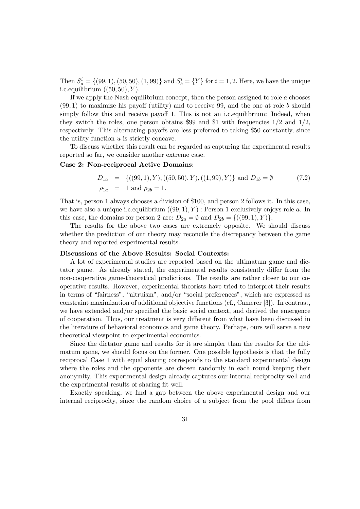Then  $S_a^i = \{(99, 1), (50, 50), (1, 99)\}$  and  $S_b^i = \{Y\}$  for  $i = 1, 2$ . Here, we have the unique i.c. equilibrium  $((50, 50), Y)$ .

If we apply the Nash equilibrium concept, then the person assigned to role  $a$  chooses  $(99, 1)$  to maximize his payoff (utility) and to receive 99, and the one at role b should simply follow this and receive payoff 1. This is not an i.c. equilibrium: Indeed, when they switch the roles, one person obtains \$99 and \$1 with frequencies  $1/2$  and  $1/2$ , respectively. This alternating payoffs are less preferred to taking \$50 constantly, since the utility function  $u$  is strictly concave.

To discuss whether this result can be regarded as capturing the experimental results reported so far, we consider another extreme case.

## Case 2: Non-reciprocal Active Domains:

$$
D_{1a} = \{((99,1), Y), ((50,50), Y), ((1,99), Y)\} \text{ and } D_{1b} = \emptyset \tag{7.2}
$$
  

$$
\rho_{1a} = 1 \text{ and } \rho_{2b} = 1.
$$

That is, person 1 always chooses a division of \$100, and person 2 follows it. In this case, we have also a unique i.c. equilibrium  $((99, 1), Y)$  : Person 1 exclusively enjoys role a. In this case, the domains for person 2 are:  $D_{2a} = \emptyset$  and  $D_{2b} = \{((99, 1), Y)\}.$ 

The results for the above two cases are extremely opposite. We should discuss whether the prediction of our theory may reconcile the discrepancy between the game theory and reported experimental results.

## Discussions of the Above Results: Social Contexts:

A lot of experimental studies are reported based on the ultimatum game and dictator game. As already stated, the experimental results consistently differ from the non-cooperative game-theoretical predictions. The results are rather closer to our cooperative results. However, experimental theorists have tried to interpret their results in terms of "fairness", "altruism", and/or "social preferences", which are expressed as constraint maximization of additional objective functions (cf., Camerer [3]). In contrast, we have extended and/or specified the basic social context, and derived the emergence of cooperation. Thus, our treatment is very different from what have been discussed in the literature of behavioral economics and game theory. Perhaps, ours will serve a new theoretical viewpoint to experimental economics.

Since the dictator game and results for it are simpler than the results for the ultimatum game, we should focus on the former. One possible hypothesis is that the fully reciprocal Case 1 with equal sharing corresponds to the standard experimental design where the roles and the opponents are chosen randomly in each round keeping their anonymity. This experimental design already captures our internal reciprocity well and the experimental results of sharing fit well.

Exactly speaking, we find a gap between the above experimental design and our internal reciprocity, since the random choice of a subject from the pool differs from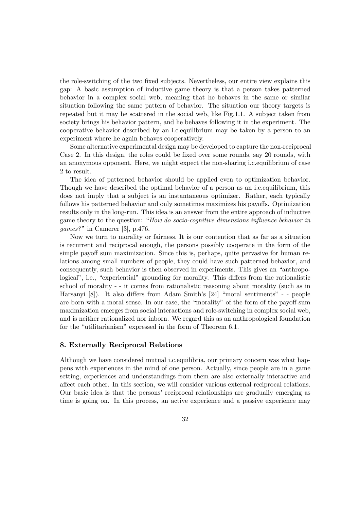the role-switching of the two fixed subjects. Nevertheless, our entire view explains this gap: A basic assumption of inductive game theory is that a person takes patterned behavior in a complex social web, meaning that he behaves in the same or similar situation following the same pattern of behavior. The situation our theory targets is repeated but it may be scattered in the social web, like Fig.1.1. A subject taken from society brings his behavior pattern, and he behaves following it in the experiment. The cooperative behavior described by an i.c.equilibrium may be taken by a person to an experiment where he again behaves cooperatively.

Some alternative experimental design may be developed to capture the non-reciprocal Case 2. In this design, the roles could be fixed over some rounds, say 20 rounds, with an anonymous opponent. Here, we might expect the non-sharing i.c.equilibrium of case 2 to result.

The idea of patterned behavior should be applied even to optimization behavior. Though we have described the optimal behavior of a person as an i.c.equilibrium, this does not imply that a subject is an instantaneous optimizer. Rather, each typically follows his patterned behavior and only sometimes maximizes his payoffs. Optimization results only in the long-run. This idea is an answer from the entire approach of inductive game theory to the question: "How do socio-cognitive dimensions influence behavior in games?" in Camerer [3], p.476.

Now we turn to morality or fairness. It is our contention that as far as a situation is recurrent and reciprocal enough, the persons possibly cooperate in the form of the simple payoff sum maximization. Since this is, perhaps, quite pervasive for human relations among small numbers of people, they could have such patterned behavior, and consequently, such behavior is then observed in experiments. This gives an "anthropological", i.e., "experiential" grounding for morality. This differs from the rationalistic school of morality - - it comes from rationalistic reasoning about morality (such as in Harsanyi [8]). It also differs from Adam Smith's [24] "moral sentiments" - - people are born with a moral sense. In our case, the "morality" of the form of the payoff-sum maximization emerges from social interactions and role-switching in complex social web, and is neither rationalized nor inborn. We regard this as an anthropological foundation for the "utilitarianism" expressed in the form of Theorem 6.1.

## 8. Externally Reciprocal Relations

Although we have considered mutual i.c.equilibria, our primary concern was what happens with experiences in the mind of one person. Actually, since people are in a game setting, experiences and understandings from them are also externally interactive and affect each other. In this section, we will consider various external reciprocal relations. Our basic idea is that the persons' reciprocal relationships are gradually emerging as time is going on. In this process, an active experience and a passive experience may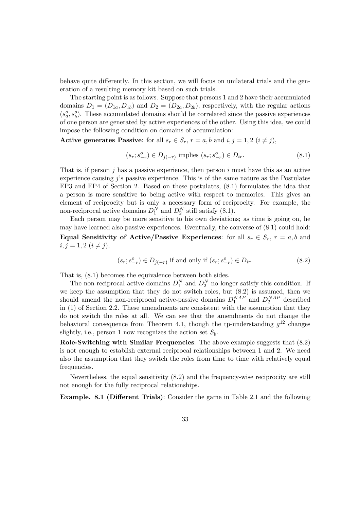behave quite differently. In this section, we will focus on unilateral trials and the generation of a resulting memory kit based on such trials.

The starting point is as follows. Suppose that persons 1 and 2 have their accumulated domains  $D_1 = (D_{1a}, D_{1b})$  and  $D_2 = (D_{2a}, D_{2b})$ , respectively, with the regular actions  $(s_a^o, s_b^o)$ . These accumulated domains should be correlated since the passive experiences of one person are generated by active experiences of the other. Using this idea, we could impose the following condition on domains of accumulation:

Active generates Passive: for all  $s_r \in S_r$ ,  $r = a, b$  and  $i, j = 1, 2$   $(i \neq j)$ ,

$$
(s_r; s_{-r}^o) \in D_{j(-r)} \text{ implies } (s_r; s_{-r}^o) \in D_{ir}. \tag{8.1}
$$

That is, if person  $j$  has a passive experience, then person  $i$  must have this as an active experience causing  $j$ 's passive experience. This is of the same nature as the Postulates EP3 and EP4 of Section 2. Based on these postulates, (8.1) formulates the idea that a person is more sensitive to being active with respect to memories. This gives an element of reciprocity but is only a necessary form of reciprocity. For example, the non-reciprocal active domains  $D_1^N$  and  $D_2^N$  still satisfy (8.1).

Each person may be more sensitive to his own deviations; as time is going on, he may have learned also passive experiences. Eventually, the converse of (8.1) could hold: Equal Sensitivity of Active/Passive Experiences: for all  $s_r \in S_r$ ,  $r = a, b$  and  $i, j = 1, 2 \ (i \neq j),$ 

$$
(s_r; s_{-r}^o) \in D_{j(-r)} \text{ if and only if } (s_r; s_{-r}^o) \in D_{ir}. \tag{8.2}
$$

That is, (8.1) becomes the equivalence between both sides.

The non-reciprocal active domains  $D_1^N$  and  $D_2^N$  no longer satisfy this condition. If we keep the assumption that they do not switch roles, but (8.2) is assumed, then we should amend the non-reciprocal active-passive domains  $D_1^{NAP}$  and  $D_2^{NAP}$  described in (1) of Section 2.2. These amendments are consistent with the assumption that they do not switch the roles at all. We can see that the amendments do not change the behavioral consequence from Theorem 4.1, though the tp-understanding  $g^{12}$  changes slightly, i.e., person 1 now recognizes the action set  $S<sub>b</sub>$ .

Role-Switching with Similar Frequencies: The above example suggests that (8.2) is not enough to establish external reciprocal relationships between 1 and 2. We need also the assumption that they switch the roles from time to time with relatively equal frequencies.

Nevertheless, the equal sensitivity (8.2) and the frequency-wise reciprocity are still not enough for the fully reciprocal relationships.

Example. 8.1 (Different Trials): Consider the game in Table 2.1 and the following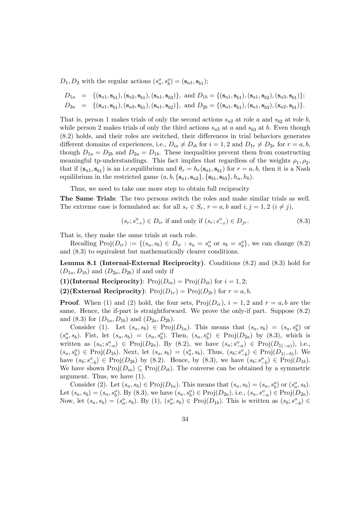$D_1, D_2$  with the regular actions  $(s_a^o, s_b^o) = (\mathbf{s}_{a1}, \mathbf{s}_{b1});$ 

$$
D_{1a} = \{ (\mathbf{s}_{a1}, \mathbf{s}_{b1}), (\mathbf{s}_{a2}, \mathbf{s}_{b1}), (\mathbf{s}_{a1}, \mathbf{s}_{b3}) \}, \text{ and } D_{1b} = \{ (\mathbf{s}_{a1}, \mathbf{s}_{b1}), (\mathbf{s}_{a1}, \mathbf{s}_{b2}), (\mathbf{s}_{a3}, \mathbf{s}_{b1}) \};
$$
  
\n
$$
D_{2a} = \{ (\mathbf{s}_{a1}, \mathbf{s}_{b1}), (\mathbf{s}_{a3}, \mathbf{s}_{b1}), (\mathbf{s}_{a1}, \mathbf{s}_{b2}) \}, \text{ and } D_{2b} = \{ (\mathbf{s}_{a1}, \mathbf{s}_{b1}), (\mathbf{s}_{a1}, \mathbf{s}_{b3}), (\mathbf{s}_{a2}, \mathbf{s}_{b1}) \}.
$$

That is, person 1 makes trials of only the second actions  $s_{a2}$  at role a and  $s_{b2}$  at role b, while person 2 makes trials of only the third actions  $s_{a3}$  at a and  $s_{b3}$  at b. Even though (8.2) holds, and their roles are switched, their differences in trial behaviors generates different domains of experiences, i.e.,  $D_{ia} \neq D_{ib}$  for  $i = 1, 2$  and  $D_{1r} \neq D_{2r}$  for  $r = a, b$ , though  $D_{1a} = D_{2b}$  and  $D_{2a} = D_{1b}$ . These inequalities prevent them from constructing meaningful tp-understandings. This fact implies that regardless of the weights  $\rho_1, \rho_2$ , that if  $(\mathbf{s}_{a1}, \mathbf{s}_{b1})$  is an i.c. equilibrium and  $\theta_r = h_r(\mathbf{s}_{a1}, \mathbf{s}_{b1})$  for  $r = a, b$ , then it is a Nash equilibrium in the restricted game  $(a, b, \{s_{a1}, s_{a2}\}, \{s_{b1}, s_{b3}\}, h_a, h_b)$ .

Thus, we need to take one more step to obtain full reciprocity

The Same Trials: The two persons switch the roles and make similar trials as well. The extreme case is formulated as: for all  $s_r \in S_r$ ,  $r = a, b$  and  $i, j = 1, 2$   $(i \neq j)$ ,

$$
(s_r; s_{-r}^o) \in D_{ir}
$$
 if and only if  $(s_r; s_{-r}^o) \in D_{jr}$ . (8.3)

That is, they make the same trials at each role.

Recalling  $\text{Proj}(D_{ir}) := \{(s_a, s_b) \in D_{ir} : s_a = s_a^o \text{ or } s_b = s_b^o\}$ , we can change  $(8.2)$ and (8.3) to equivalent but mathematically clearer conditions.

Lemma 8.1 (Internal-External Reciprocity). Conditions (8.2) and (8.3) hold for  $(D_{1a}, D_{1b})$  and  $(D_{2a}, D_{2b})$  if and only if

(1)(Internal Reciprocity):  $\text{Proj}(D_{ia}) = \text{Proj}(D_{ib})$  for  $i = 1, 2$ ;

(2)(External Reciprocity):  $Proj(D_{1r}) = Proj(D_{2r})$  for  $r = a, b$ .

**Proof.** When (1) and (2) hold, the four sets,  $\text{Proj}(D_{ir})$ ,  $i = 1, 2$  and  $r = a, b$  are the same. Hence, the if-part is straightforward. We prove the only-if part. Suppose (8.2) and (8.3) for  $(D_{1a}, D_{1b})$  and  $(D_{2a}, D_{2b})$ .

Consider (1). Let  $(s_a, s_b) \in \text{Proj}(D_{1a})$ . This means that  $(s_a, s_b) = (s_a, s_b^o)$  or  $(s_a^o, s_b)$ . Fist, let  $(s_a, s_b) = (s_a, s_b^o)$ . Then,  $(s_a, s_b^o) \in \text{Proj}(D_{2a})$  by  $(8.3)$ , which is written as  $(s_a; s_{-a}^o) \in \text{Proj}(D_{2a})$ . By  $(8.2)$ , we have  $(s_a; s_{-a}^o) \in \text{Proj}(D_{1(-a)})$ , i.e.,  $(s_a, s_b^o) \in \text{Proj}(D_{1b})$ . Next, let  $(s_a, s_b) = (s_a^o, s_b)$ . Thus,  $(s_b; s_{-b}^o) \in \text{Proj}(D_{1(-b)})$ . We have  $(s_b; s_{-b}^o) \in \text{Proj}(D_{2b})$  by  $(8.2)$ . Hence, by  $(8.3)$ , we have  $(s_b; s_{-b}^o) \in \text{Proj}(D_{1b})$ . We have shown  $\text{Proj}(D_{ia}) \subseteq \text{Proj}(D_{ib})$ . The converse can be obtained by a symmetric argument. Thus, we have (1).

Consider (2). Let  $(s_a, s_b) \in \text{Proj}(D_{1a})$ . This means that  $(s_a, s_b) = (s_a, s_b^o)$  or  $(s_a^o, s_b)$ . Let  $(s_a, s_b) = (s_a, s_b^o)$ . By  $(8.3)$ , we have  $(s_a, s_b^o) \in \text{Proj}(D_{2a})$ . i.e.,  $(s_a, s_{-a}^o) \in \text{Proj}(D_{2a})$ . Now, let  $(s_a, s_b) = (s_a^o, s_b)$ . By (1),  $(s_a^o, s_b) \in \text{Proj}(D_{1b})$ . This is written as  $(s_b; s_{-b}^o) \in$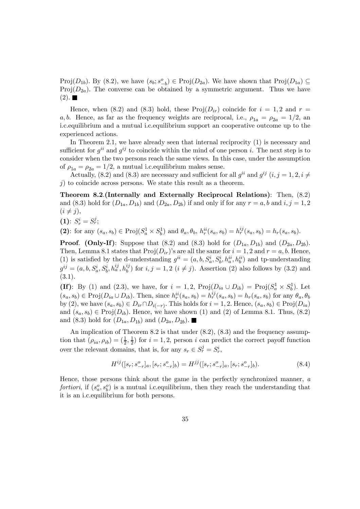Proj $(D_{1b})$ . By  $(8.2)$ , we have  $(s_b; s_{-b}^o) \in \text{Proj}(D_{2a})$ . We have shown that  $\text{Proj}(D_{1a}) \subseteq$  $Proj(D_{2a})$ . The converse can be obtained by a symmetric argument. Thus we have  $(2). \blacksquare$ 

Hence, when (8.2) and (8.3) hold, these  $\text{Proj}(D_{ir})$  coincide for  $i = 1, 2$  and  $r =$ a, b. Hence, as far as the frequency weights are reciprocal, i.e.,  $\rho_{1a} = \rho_{2a} = 1/2$ , and i.c.equilibrium and a mutual i.c.equilibrium support an cooperative outcome up to the experienced actions.

In Theorem 2.1, we have already seen that internal reciprocity (1) is necessary and sufficient for  $q^{ii}$  and  $q^{ij}$  to coincide within the mind of one person i. The next step is to consider when the two persons reach the same views. In this case, under the assumption of  $\rho_{1a} = \rho_{2a} = 1/2$ , a mutual i.c. equilibrium makes sense.

Actually, (8.2) and (8.3) are necessary and sufficient for all  $g^{ii}$  and  $g^{ij}$  (i, j = 1, 2, i  $\neq$  $j$ ) to coincide across persons. We state this result as a theorem.

Theorem 8.2.(Internally and Externally Reciprocal Relations): Then, (8.2) and (8.3) hold for  $(D_{1a}, D_{1b})$  and  $(D_{2a}, D_{2b})$  if and only if for any  $r = a, b$  and  $i, j = 1, 2$  $(i \neq j),$ 

$$
\textbf{(1): } S^i_r=S^j_r;
$$

(2): for any  $(s_a, s_b) \in \text{Proj}(S_a^1 \times S_b^1)$  and  $\theta_a, \theta_b, h_r^{ii}(s_a, s_b) = h_r^{ij}(s_a, s_b) = h_r(s_a, s_b)$ .

**Proof.** (Only-If): Suppose that (8.2) and (8.3) hold for  $(D_{1a}, D_{1b})$  and  $(D_{2a}, D_{2b})$ . Then, Lemma 8.1 states that  $\text{Proj}(D_{ir})$ 's are all the same for  $i = 1, 2$  and  $r = a, b$ . Hence, (1) is satisfied by the d-understanding  $g^{ii} = (a, b, S_a^i, S_b^i, h_a^{ii}, h_b^{ii})$  and tp-understanding  $g^{ij} = (a, b, S_a^i, S_b^i, h_a^{ij}, h_b^{ij})$  for  $i, j = 1, 2$   $(i \neq j)$ . Assertion (2) also follows by (3.2) and (3.1).

(If): By (1) and (2.3), we have, for  $i = 1, 2$ ,  $\text{Proj}(D_{ia} \cup D_{ib}) = \text{Proj}(S_a^1 \times S_b^1)$ . Let  $(s_a, s_b) \in \text{Proj}(D_{ia} \cup D_{ib})$ . Then, since  $h_r^{ii}(s_a, s_b) = h_r^{ij}(s_a, s_b) = h_r(s_a, s_b)$  for any  $\theta_a, \theta_b$ by (2), we have  $(s_a, s_b) \in D_{ir} \cap D_{i(-r)}$ . This holds for  $i = 1, 2$ . Hence,  $(s_a, s_b) \in \text{Proj}(D_{ia})$ and  $(s_a, s_b) \in \text{Proj}(D_{ib})$ . Hence, we have shown (1) and (2) of Lemma 8.1. Thus, (8.2) and (8.3) hold for  $(D_{1a}, D_{1b})$  and  $(D_{2a}, D_{2b})$ .

An implication of Theorem 8.2 is that under  $(8.2)$ ,  $(8.3)$  and the frequency assumption that  $(\rho_{ia}, \rho_{ib}) = (\frac{1}{2}, \frac{1}{2})$  for  $i = 1, 2$ , person i can predict the correct payoff function over the relevant domains, that is, for any  $s_r \in S_r^j = S_r^i$ ,

$$
H^{ij}([s_r; s^o_{-r}]_a, [s_r; s^o_{-r}]_b) = H^{jj}([s_r; s^o_{-r}]_a, [s_r; s^o_{-r}]_b). \tag{8.4}
$$

Hence, those persons think about the game in the perfectly synchronized manner, a fortiori, if  $(s_a^o, s_b^o)$  is a mutual i.c. equilibrium, then they reach the understanding that it is an i.c.equilibrium for both persons.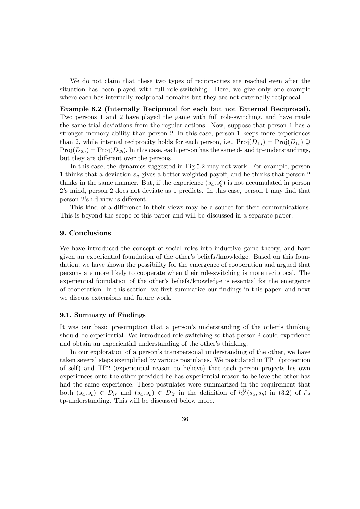We do not claim that these two types of reciprocities are reached even after the situation has been played with full role-switching. Here, we give only one example where each has internally reciprocal domains but they are not externally reciprocal

Example 8.2 (Internally Reciprocal for each but not External Reciprocal). Two persons 1 and 2 have played the game with full role-switching, and have made the same trial deviations from the regular actions. Now, suppose that person 1 has a stronger memory ability than person 2. In this case, person 1 keeps more experiences than 2, while internal reciprocity holds for each person, i.e.,  $\text{Proj}(D_{1a}) = \text{Proj}(D_{1b}) \supseteq$  $Proj(D_{2a}) = Proj(D_{2b})$ . In this case, each person has the same d- and tp-understandings, but they are different over the persons.

In this case, the dynamics suggested in Fig.5.2 may not work. For example, person 1 thinks that a deviation  $s_a$  gives a better weighted payoff, and he thinks that person 2 thinks in the same manner. But, if the experience  $(s_a, s_b^o)$  is not accumulated in person 2's mind, person 2 does not deviate as 1 predicts. In this case, person 1 may find that person 2's i.d.view is different.

This kind of a difference in their views may be a source for their communications. This is beyond the scope of this paper and will be discussed in a separate paper.

# 9. Conclusions

We have introduced the concept of social roles into inductive game theory, and have given an experiential foundation of the other's beliefs/knowledge. Based on this foundation, we have shown the possibility for the emergence of cooperation and argued that persons are more likely to cooperate when their role-switching is more reciprocal. The experiential foundation of the other's beliefs/knowledge is essential for the emergence of cooperation. In this section, we first summarize our findings in this paper, and next we discuss extensions and future work.

#### 9.1. Summary of Findings

It was our basic presumption that a person's understanding of the other's thinking should be experiential. We introduced role-switching so that person  $i$  could experience and obtain an experiential understanding of the other's thinking.

In our exploration of a person's transpersonal understanding of the other, we have taken several steps exemplified by various postulates. We postulated in TP1 (projection of self) and TP2 (experiential reason to believe) that each person projects his own experiences onto the other provided he has experiential reason to believe the other has had the same experience. These postulates were summarized in the requirement that both  $(s_a, s_b) \in D_{ir}$  and  $(s_a, s_b) \in D_{ir}$  in the definition of  $h_r^{ij}(s_a, s_b)$  in (3.2) of i's tp-understanding. This will be discussed below more.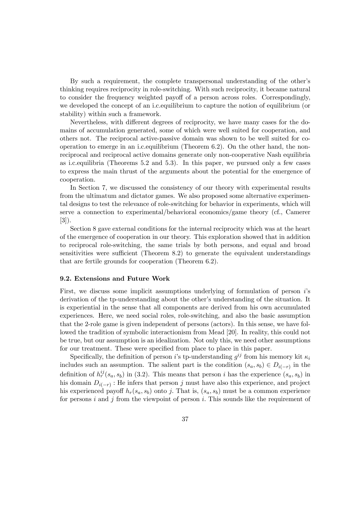By such a requirement, the complete transpersonal understanding of the other's thinking requires reciprocity in role-switching. With such reciprocity, it became natural to consider the frequency weighted payoff of a person across roles. Correspondingly, we developed the concept of an i.c.equilibrium to capture the notion of equilibrium (or stability) within such a framework.

Nevertheless, with different degrees of reciprocity, we have many cases for the domains of accumulation generated, some of which were well suited for cooperation, and others not. The reciprocal active-passive domain was shown to be well suited for cooperation to emerge in an i.c.equilibrium (Theorem 6.2). On the other hand, the nonreciprocal and reciprocal active domains generate only non-cooperative Nash equilibria as i.c.equilibria (Theorems 5.2 and 5.3). In this paper, we pursued only a few cases to express the main thrust of the arguments about the potential for the emergence of cooperation.

In Section 7, we discussed the consistency of our theory with experimental results from the ultimatum and dictator games. We also proposed some alternative experimental designs to test the relevance of role-switching for behavior in experiments, which will serve a connection to experimental/behavioral economics/game theory (cf., Camerer [3]).

Section 8 gave external conditions for the internal reciprocity which was at the heart of the emergence of cooperation in our theory. This exploration showed that in addition to reciprocal role-switching, the same trials by both persons, and equal and broad sensitivities were sufficient (Theorem 8.2) to generate the equivalent understandings that are fertile grounds for cooperation (Theorem 6.2).

#### 9.2. Extensions and Future Work

First, we discuss some implicit assumptions underlying of formulation of person i's derivation of the tp-understanding about the other's understanding of the situation. It is experiential in the sense that all components are derived from his own accumulated experiences. Here, we need social roles, role-switching, and also the basic assumption that the 2-role game is given independent of persons (actors). In this sense, we have followed the tradition of symbolic interactionism from Mead [20]. In reality, this could not be true, but our assumption is an idealization. Not only this, we need other assumptions for our treatment. These were specified from place to place in this paper.

Specifically, the definition of person is tp-understanding  $g^{ij}$  from his memory kit  $\kappa_i$ includes such an assumption. The salient part is the condition  $(s_a, s_b) \in D_{i(-r)}$  in the definition of  $h_r^{ij}(s_a, s_b)$  in (3.2). This means that person *i* has the experience  $(s_a, s_b)$  in his domain  $D_{i(-r)}$ : He infers that person j must have also this experience, and project his experienced payoff  $h_r(s_a, s_b)$  onto j. That is,  $(s_a, s_b)$  must be a common experience for persons  $i$  and  $j$  from the viewpoint of person  $i$ . This sounds like the requirement of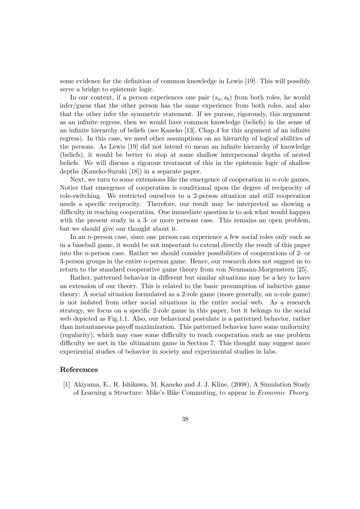some evidence for the definition of common knowledge in Lewis [19]. This will possibly serve a bridge to epistemic logic.

In our context, if a person experiences one pair  $(s_a, s_b)$  from both roles, he would infer/guess that the other person has the same experience from both roles, and also that the other infer the symmetric statement. If we pursue, rigorously, this argument as an infinite regress, then we would have common knowledge (beliefs) in the sense of an infinite hierarchy of beliefs (see Kaneko [13], Chap.4 for this argument of an infinite regress). In this case, we need other assumptions on an hierarchy of logical abilities of the persons. As Lewis [19] did not intend to mean an infinite hierarchy of knowledge (beliefs), it would be better to stop at some shallow interpersonal depths of nested beliefs. We will discuss a rigorous treatment of this in the epistemic logic of shallow depths (Kaneko-Suzuki [18]) in a separate paper.

Next, we turn to some extensions like the emergence of cooperation in n-role games. Notice that emergence of cooperation is conditional upon the degree of reciprocity of role-switching. We restricted ourselves to a 2-person situation and still cooperation needs a specific reciprocity. Therefore, our result may be interpreted as showing a difficulty in reaching cooperation. One immediate question is to ask what would happen with the present study in a 3- or more persons case. This remains an open problem, but we should give our thought about it.

In an *n*-person case, since one person can experience a few social roles only such as in a baseball game, it would be not important to extend directly the result of this paper into the n-person case. Rather we should consider possibilities of cooperations of 2- or 3-person groups in the entire n-person game. Hence, our research does not suggest us to return to the standard cooperative game theory from von Neumann-Morgenstern [25].

Rather, patterned behavior in different but similar situations may be a key to have an extension of our theory. This is related to the basic presumption of inductive game theory: A social situation formulated as a 2-role game (more generally, an  $n$ -role game) is not isolated from other social situations in the entire social web. As a research strategy, we focus on a specific 2-role game in this paper, but it belongs to the social web depicted as Fig.1.1. Also, our behavioral postulate is a patterned behavior, rather than instantaneous payoff maximization. This patterned behavior have some uniformity (regularity), which may ease some difficulty to reach cooperation such as one problem difficulty we met in the ultimatum game in Section 7. This thought may suggest more experiential studies of behavior in society and experimental studies in labs.

# References

[1] Akiyama, E., R. Ishikawa, M. Kaneko and J. J. Kline, (2008), A Simulation Study of Learning a Structure: Mike's Bike Commuting, to appear in Economic Theory.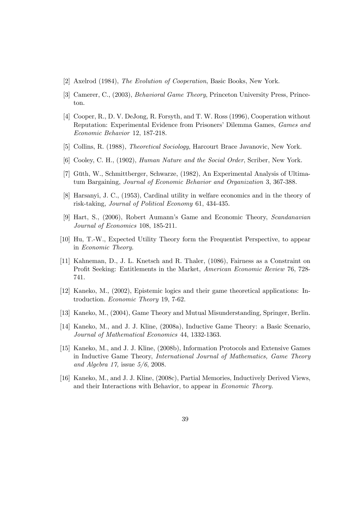- [2] Axelrod (1984), The Evolution of Cooperation, Basic Books, New York.
- [3] Camerer, C., (2003), Behavioral Game Theory, Princeton University Press, Princeton.
- [4] Cooper, R., D. V. DeJong, R. Forsyth, and T. W. Ross (1996), Cooperation without Reputation: Experimental Evidence from Prisoners' Dilemma Games, Games and Economic Behavior 12, 187-218.
- [5] Collins, R. (1988), Theoretical Sociology, Harcourt Brace Javanovic, New York.
- [6] Cooley, C. H., (1902), Human Nature and the Social Order, Scriber, New York.
- [7] Güth, W., Schmittberger, Schwarze, (1982), An Experimental Analysis of Ultimatum Bargaining, Journal of Economic Behavior and Organization 3, 367-388.
- [8] Harsanyi, J. C., (1953), Cardinal utility in welfare economics and in the theory of risk-taking, Journal of Political Economy 61, 434-435.
- [9] Hart, S., (2006), Robert Aumann's Game and Economic Theory, Scandanavian Journal of Economics 108, 185-211.
- [10] Hu, T.-W., Expected Utility Theory form the Frequentist Perspective, to appear in Economic Theory.
- [11] Kahneman, D., J. L. Knetsch and R. Thaler, (1086), Fairness as a Constraint on Profit Seeking: Entitlements in the Market, American Economic Review 76, 728- 741.
- [12] Kaneko, M., (2002), Epistemic logics and their game theoretical applications: Introduction. Economic Theory 19, 7-62.
- [13] Kaneko, M., (2004), Game Theory and Mutual Misunderstanding, Springer, Berlin.
- [14] Kaneko, M., and J. J. Kline, (2008a), Inductive Game Theory: a Basic Scenario, Journal of Mathematical Economics 44, 1332-1363.
- [15] Kaneko, M., and J. J. Kline, (2008b), Information Protocols and Extensive Games in Inductive Game Theory, International Journal of Mathematics, Game Theory and Algebra 17, issue  $5/6$ , 2008.
- [16] Kaneko, M., and J. J. Kline, (2008c), Partial Memories, Inductively Derived Views, and their Interactions with Behavior, to appear in Economic Theory.